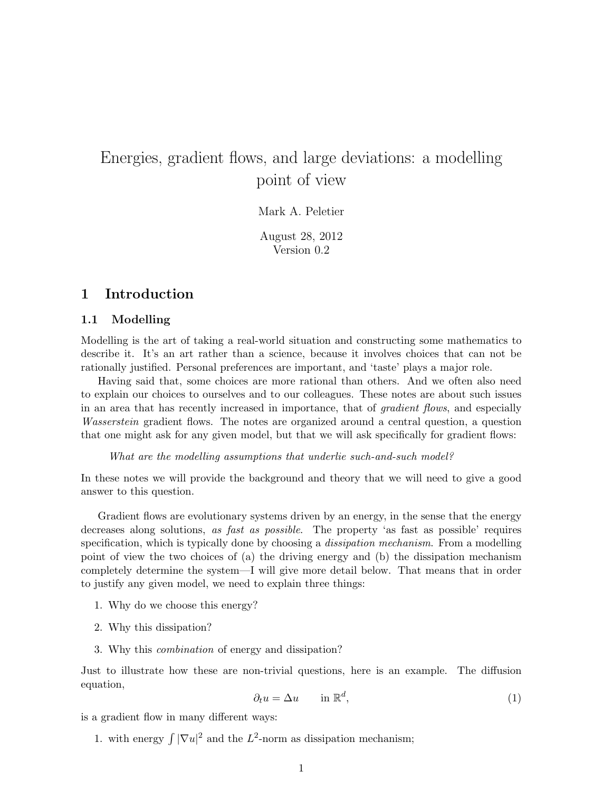# Energies, gradient flows, and large deviations: a modelling point of view

Mark A. Peletier

August 28, 2012 Version 0.2

### 1 Introduction

### 1.1 Modelling

Modelling is the art of taking a real-world situation and constructing some mathematics to describe it. It's an art rather than a science, because it involves choices that can not be rationally justified. Personal preferences are important, and 'taste' plays a major role.

Having said that, some choices are more rational than others. And we often also need to explain our choices to ourselves and to our colleagues. These notes are about such issues in an area that has recently increased in importance, that of gradient flows, and especially Wasserstein gradient flows. The notes are organized around a central question, a question that one might ask for any given model, but that we will ask specifically for gradient flows:

What are the modelling assumptions that underlie such-and-such model?

In these notes we will provide the background and theory that we will need to give a good answer to this question.

Gradient flows are evolutionary systems driven by an energy, in the sense that the energy decreases along solutions, as fast as possible. The property 'as fast as possible' requires specification, which is typically done by choosing a *dissipation mechanism*. From a modelling point of view the two choices of (a) the driving energy and (b) the dissipation mechanism completely determine the system—I will give more detail below. That means that in order to justify any given model, we need to explain three things:

- 1. Why do we choose this energy?
- 2. Why this dissipation?
- 3. Why this combination of energy and dissipation?

Just to illustrate how these are non-trivial questions, here is an example. The diffusion equation,

$$
\partial_t u = \Delta u \qquad \text{in } \mathbb{R}^d,
$$
\n<sup>(1)</sup>

is a gradient flow in many different ways:

1. with energy  $\int |\nabla u|^2$  and the  $L^2$ -norm as dissipation mechanism;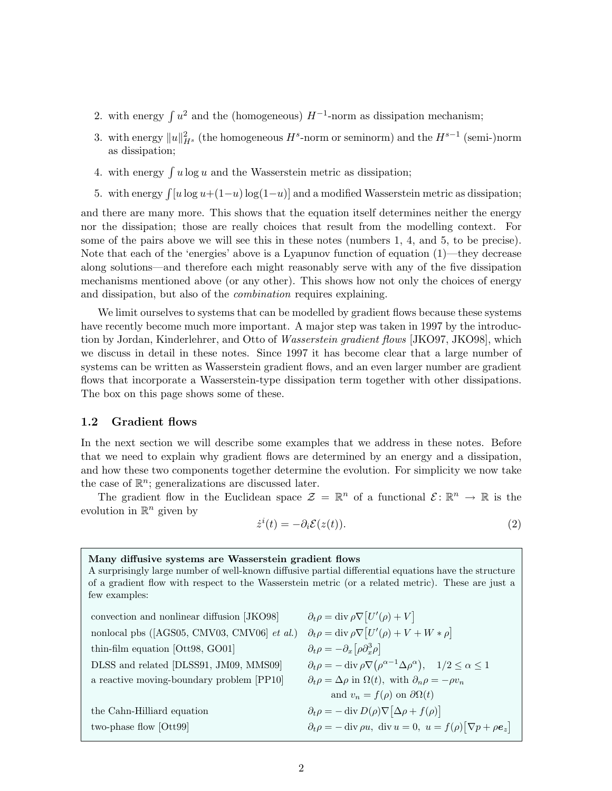- 2. with energy  $\int u^2$  and the (homogeneous)  $H^{-1}$ -norm as dissipation mechanism;
- 3. with energy  $||u||_{H^s}^2$  (the homogeneous  $H^s$ -norm or seminorm) and the  $H^{s-1}$  (semi-)norm as dissipation;
- 4. with energy  $\int u \log u$  and the Wasserstein metric as dissipation;
- 5. with energy  $\int [u \log u + (1-u) \log(1-u)]$  and a modified Wasserstein metric as dissipation;

and there are many more. This shows that the equation itself determines neither the energy nor the dissipation; those are really choices that result from the modelling context. For some of the pairs above we will see this in these notes (numbers 1, 4, and 5, to be precise). Note that each of the 'energies' above is a Lyapunov function of equation (1)—they decrease along solutions—and therefore each might reasonably serve with any of the five dissipation mechanisms mentioned above (or any other). This shows how not only the choices of energy and dissipation, but also of the combination requires explaining.

We limit ourselves to systems that can be modelled by gradient flows because these systems have recently become much more important. A major step was taken in 1997 by the introduction by Jordan, Kinderlehrer, and Otto of Wasserstein gradient flows [JKO97, JKO98], which we discuss in detail in these notes. Since 1997 it has become clear that a large number of systems can be written as Wasserstein gradient flows, and an even larger number are gradient flows that incorporate a Wasserstein-type dissipation term together with other dissipations. The box on this page shows some of these.

### 1.2 Gradient flows

In the next section we will describe some examples that we address in these notes. Before that we need to explain why gradient flows are determined by an energy and a dissipation, and how these two components together determine the evolution. For simplicity we now take the case of  $\mathbb{R}^n$ ; generalizations are discussed later.

The gradient flow in the Euclidean space  $\mathcal{Z} = \mathbb{R}^n$  of a functional  $\mathcal{E} \colon \mathbb{R}^n \to \mathbb{R}$  is the evolution in  $\mathbb{R}^n$  given by

$$
\dot{z}^i(t) = -\partial_i \mathcal{E}(z(t)).\tag{2}
$$

| Many diffusive systems are Wasserstein gradient flows<br>A surprisingly large number of well-known diffusive partial differential equations have the structure<br>of a gradient flow with respect to the Wasserstein metric (or a related metric). These are just a<br>few examples: |                                                                                                                             |
|--------------------------------------------------------------------------------------------------------------------------------------------------------------------------------------------------------------------------------------------------------------------------------------|-----------------------------------------------------------------------------------------------------------------------------|
| convection and nonlinear diffusion [JKO98]                                                                                                                                                                                                                                           | $\partial_t \rho = \text{div} \, \rho \nabla [U'(\rho) + V]$                                                                |
| nonlocal pbs ( $[AGS05, CMV03, CMV06]$ <i>et al.</i> )                                                                                                                                                                                                                               | $\partial_t \rho = \text{div} \, \rho \nabla [U'(\rho) + V + W * \rho]$                                                     |
| thin-film equation $[Ott98, GO01]$                                                                                                                                                                                                                                                   | $\partial_t \rho = -\partial_x [\rho \partial_x^3 \rho]$                                                                    |
| DLSS and related [DLSS91, JM09, MMS09]                                                                                                                                                                                                                                               | $\partial_t \rho = - \operatorname{div} \rho \nabla (\rho^{\alpha - 1} \Delta \rho^{\alpha}), \quad 1/2 \leq \alpha \leq 1$ |
| a reactive moving-boundary problem [PP10]                                                                                                                                                                                                                                            | $\partial_t \rho = \Delta \rho$ in $\Omega(t)$ , with $\partial_n \rho = -\rho v_n$                                         |
|                                                                                                                                                                                                                                                                                      | and $v_n = f(\rho)$ on $\partial \Omega(t)$                                                                                 |
| the Cahn-Hilliard equation                                                                                                                                                                                                                                                           | $\partial_t \rho = - \operatorname{div} D(\rho) \nabla  \Delta \rho + f(\rho) $                                             |
| two-phase flow [Ott99]                                                                                                                                                                                                                                                               | $\partial_t \rho = -\operatorname{div} \rho u$ , $\operatorname{div} u = 0$ , $u = f(\rho) [\nabla p + \rho e_z]$           |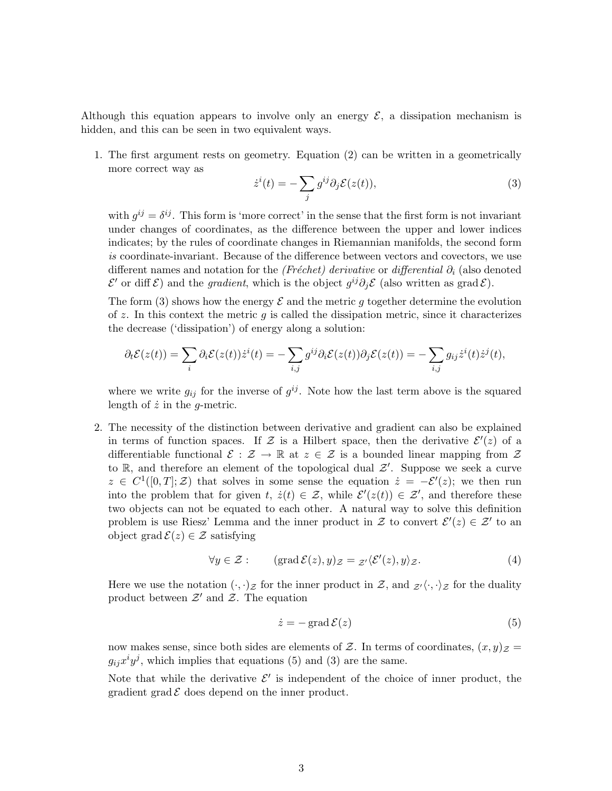Although this equation appears to involve only an energy  $\mathcal{E}$ , a dissipation mechanism is hidden, and this can be seen in two equivalent ways.

1. The first argument rests on geometry. Equation (2) can be written in a geometrically more correct way as

$$
\dot{z}^i(t) = -\sum_j g^{ij}\partial_j \mathcal{E}(z(t)),\tag{3}
$$

with  $g^{ij} = \delta^{ij}$ . This form is 'more correct' in the sense that the first form is not invariant under changes of coordinates, as the difference between the upper and lower indices indicates; by the rules of coordinate changes in Riemannian manifolds, the second form is coordinate-invariant. Because of the difference between vectors and covectors, we use different names and notation for the (Fréchet) derivative or differential  $\partial_i$  (also denoted  $\mathcal{E}'$  or diff  $\mathcal{E}$ ) and the *gradient*, which is the object  $g^{ij}\partial_j \mathcal{E}$  (also written as grad  $\mathcal{E}$ ).

The form (3) shows how the energy  $\mathcal E$  and the metric g together determine the evolution of  $z$ . In this context the metric  $g$  is called the dissipation metric, since it characterizes the decrease ('dissipation') of energy along a solution:

$$
\partial_t \mathcal{E}(z(t)) = \sum_i \partial_i \mathcal{E}(z(t)) \dot{z}^i(t) = -\sum_{i,j} g^{ij} \partial_i \mathcal{E}(z(t)) \partial_j \mathcal{E}(z(t)) = -\sum_{i,j} g_{ij} \dot{z}^i(t) \dot{z}^j(t),
$$

where we write  $g_{ij}$  for the inverse of  $g^{ij}$ . Note how the last term above is the squared length of  $\dot{z}$  in the g-metric.

2. The necessity of the distinction between derivative and gradient can also be explained in terms of function spaces. If Z is a Hilbert space, then the derivative  $\mathcal{E}'(z)$  of a differentiable functional  $\mathcal{E}: \mathcal{Z} \to \mathbb{R}$  at  $z \in \mathcal{Z}$  is a bounded linear mapping from  $\mathcal{Z}$ to  $\mathbb{R}$ , and therefore an element of the topological dual  $\mathcal{Z}'$ . Suppose we seek a curve  $z \in C^1([0,T];\mathcal{Z})$  that solves in some sense the equation  $\dot{z} = -\mathcal{E}'(z)$ ; we then run into the problem that for given  $t, \, \dot{z}(t) \in \mathcal{Z}$ , while  $\mathcal{E}'(z(t)) \in \mathcal{Z}'$ , and therefore these two objects can not be equated to each other. A natural way to solve this definition problem is use Riesz' Lemma and the inner product in Z to convert  $\mathcal{E}'(z) \in \mathcal{Z}'$  to an object grad  $\mathcal{E}(z) \in \mathcal{Z}$  satisfying

$$
\forall y \in \mathcal{Z} : \qquad (\text{grad } \mathcal{E}(z), y)_{\mathcal{Z}} = \mathcal{Z}' \langle \mathcal{E}'(z), y \rangle_{\mathcal{Z}}. \tag{4}
$$

Here we use the notation  $(\cdot, \cdot)_{\mathcal{Z}}$  for the inner product in  $\mathcal{Z}$ , and  $\mathcal{Z}'\langle \cdot, \cdot \rangle_{\mathcal{Z}}$  for the duality product between  $\mathcal{Z}'$  and  $\mathcal{Z}$ . The equation

$$
\dot{z} = -\operatorname{grad} \mathcal{E}(z) \tag{5}
$$

now makes sense, since both sides are elements of Z. In terms of coordinates,  $(x, y)$ <sub>Z</sub> =  $g_{ij}x^iy^j$ , which implies that equations (5) and (3) are the same.

Note that while the derivative  $\mathcal{E}'$  is independent of the choice of inner product, the gradient grad  $\mathcal E$  does depend on the inner product.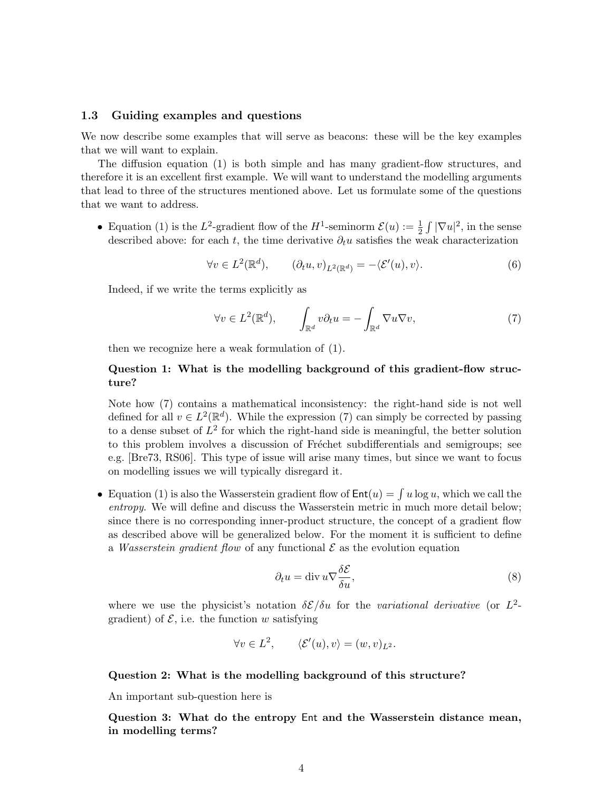### 1.3 Guiding examples and questions

We now describe some examples that will serve as beacons: these will be the key examples that we will want to explain.

The diffusion equation (1) is both simple and has many gradient-flow structures, and therefore it is an excellent first example. We will want to understand the modelling arguments that lead to three of the structures mentioned above. Let us formulate some of the questions that we want to address.

• Equation (1) is the L<sup>2</sup>-gradient flow of the H<sup>1</sup>-seminorm  $\mathcal{E}(u) := \frac{1}{2} \int |\nabla u|^2$ , in the sense described above: for each t, the time derivative  $\partial_t u$  satisfies the weak characterization

$$
\forall v \in L^{2}(\mathbb{R}^{d}), \qquad (\partial_{t} u, v)_{L^{2}(\mathbb{R}^{d})} = -\langle \mathcal{E}'(u), v \rangle.
$$
 (6)

Indeed, if we write the terms explicitly as

$$
\forall v \in L^2(\mathbb{R}^d), \qquad \int_{\mathbb{R}^d} v \partial_t u = -\int_{\mathbb{R}^d} \nabla u \nabla v,\tag{7}
$$

then we recognize here a weak formulation of (1).

### Question 1: What is the modelling background of this gradient-flow structure?

Note how (7) contains a mathematical inconsistency: the right-hand side is not well defined for all  $v \in L^2(\mathbb{R}^d)$ . While the expression (7) can simply be corrected by passing to a dense subset of  $L^2$  for which the right-hand side is meaningful, the better solution to this problem involves a discussion of Fréchet subdifferentials and semigroups; see e.g. [Bre73, RS06]. This type of issue will arise many times, but since we want to focus on modelling issues we will typically disregard it.

• Equation (1) is also the Wasserstein gradient flow of  $Ent(u) = \int u \log u$ , which we call the entropy. We will define and discuss the Wasserstein metric in much more detail below; since there is no corresponding inner-product structure, the concept of a gradient flow as described above will be generalized below. For the moment it is sufficient to define a Wasserstein gradient flow of any functional  $\mathcal E$  as the evolution equation

$$
\partial_t u = \operatorname{div} u \nabla \frac{\delta \mathcal{E}}{\delta u},\tag{8}
$$

where we use the physicist's notation  $\delta \mathcal{E}/\delta u$  for the variational derivative (or  $L^2$ gradient) of  $\mathcal{E}$ , i.e. the function w satisfying

$$
\forall v \in L^2, \qquad \langle \mathcal{E}'(u), v \rangle = (w, v)_{L^2}.
$$

### Question 2: What is the modelling background of this structure?

An important sub-question here is

Question 3: What do the entropy Ent and the Wasserstein distance mean, in modelling terms?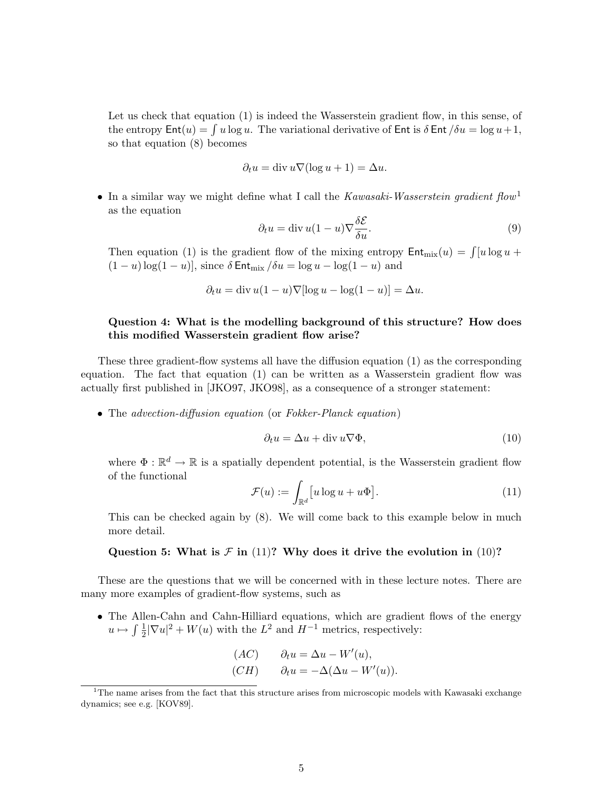Let us check that equation (1) is indeed the Wasserstein gradient flow, in this sense, of the entropy  $\textsf{Ent}(u) = \int u \log u$ . The variational derivative of  $\textsf{Ent}$  is  $\delta \textsf{Ent}/\delta u = \log u + 1$ , so that equation (8) becomes

$$
\partial_t u = \operatorname{div} u \nabla (\log u + 1) = \Delta u.
$$

• In a similar way we might define what I call the Kawasaki-Wasserstein gradient flow<sup>1</sup> as the equation

$$
\partial_t u = \operatorname{div} u (1 - u) \nabla \frac{\delta \mathcal{E}}{\delta u}.
$$
\n(9)

Then equation (1) is the gradient flow of the mixing entropy  $\text{Ent}_{\text{mix}}(u) = \int [u \log u +$  $(1 - u) \log(1 - u)$ , since  $\delta$  Ent<sub>mix</sub>  $\delta u = \log u - \log(1 - u)$  and

$$
\partial_t u = \text{div}\, u(1-u)\nabla[\log u - \log(1-u)] = \Delta u.
$$

### Question 4: What is the modelling background of this structure? How does this modified Wasserstein gradient flow arise?

These three gradient-flow systems all have the diffusion equation (1) as the corresponding equation. The fact that equation (1) can be written as a Wasserstein gradient flow was actually first published in [JKO97, JKO98], as a consequence of a stronger statement:

• The advection-diffusion equation (or Fokker-Planck equation)

$$
\partial_t u = \Delta u + \text{div } u \nabla \Phi,\tag{10}
$$

where  $\Phi : \mathbb{R}^d \to \mathbb{R}$  is a spatially dependent potential, is the Wasserstein gradient flow of the functional

$$
\mathcal{F}(u) := \int_{\mathbb{R}^d} \left[ u \log u + u \Phi \right]. \tag{11}
$$

This can be checked again by (8). We will come back to this example below in much more detail.

### Question 5: What is  $\mathcal F$  in (11)? Why does it drive the evolution in (10)?

These are the questions that we will be concerned with in these lecture notes. There are many more examples of gradient-flow systems, such as

• The Allen-Cahn and Cahn-Hilliard equations, which are gradient flows of the energy  $u \mapsto \int \frac{1}{2}$  $\frac{1}{2}|\nabla u|^2 + W(u)$  with the  $L^2$  and  $H^{-1}$  metrics, respectively:

$$
(AC) \t \partial_t u = \Delta u - W'(u),
$$
  
\n
$$
(CH) \t \partial_t u = -\Delta(\Delta u - W'(u)).
$$

 $1$ <sup>1</sup>The name arises from the fact that this structure arises from microscopic models with Kawasaki exchange dynamics; see e.g. [KOV89].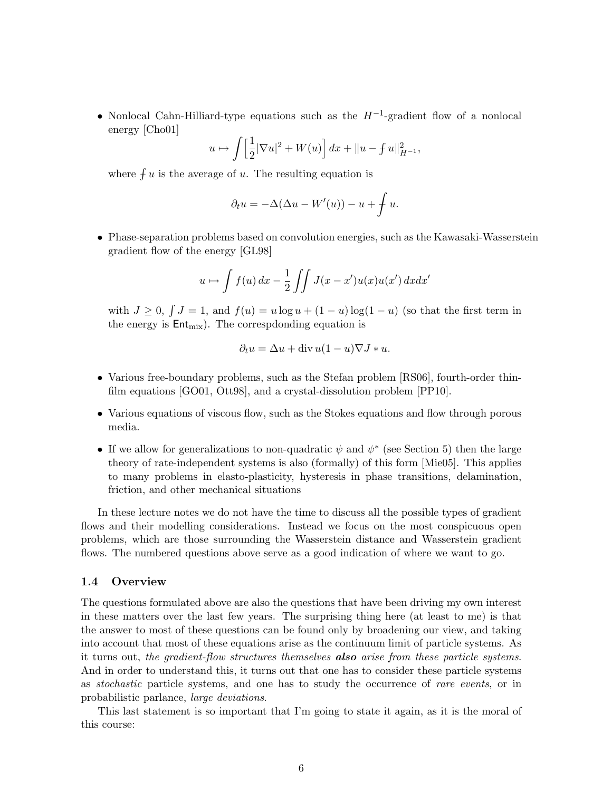• Nonlocal Cahn-Hilliard-type equations such as the  $H^{-1}$ -gradient flow of a nonlocal energy [Cho01]

$$
u \mapsto \int \left[\frac{1}{2}|\nabla u|^2 + W(u)\right] dx + ||u - f u||^2_{H^{-1}},
$$

where  $\int u$  is the average of u. The resulting equation is

$$
\partial_t u = -\Delta(\Delta u - W'(u)) - u + \int u.
$$

• Phase-separation problems based on convolution energies, such as the Kawasaki-Wasserstein gradient flow of the energy [GL98]

$$
u \mapsto \int f(u) \, dx - \frac{1}{2} \int \int J(x - x') u(x) u(x') \, dx dx'
$$

with  $J \geq 0$ ,  $\int J = 1$ , and  $f(u) = u \log u + (1 - u) \log(1 - u)$  (so that the first term in the energy is  $Ent_{mix}$ ). The correspdonding equation is

$$
\partial_t u = \Delta u + \text{div}\,u(1-u)\nabla J * u.
$$

- Various free-boundary problems, such as the Stefan problem [RS06], fourth-order thinfilm equations [GO01, Ott98], and a crystal-dissolution problem [PP10].
- Various equations of viscous flow, such as the Stokes equations and flow through porous media.
- If we allow for generalizations to non-quadratic  $\psi$  and  $\psi^*$  (see Section 5) then the large theory of rate-independent systems is also (formally) of this form [Mie05]. This applies to many problems in elasto-plasticity, hysteresis in phase transitions, delamination, friction, and other mechanical situations

In these lecture notes we do not have the time to discuss all the possible types of gradient flows and their modelling considerations. Instead we focus on the most conspicuous open problems, which are those surrounding the Wasserstein distance and Wasserstein gradient flows. The numbered questions above serve as a good indication of where we want to go.

### 1.4 Overview

The questions formulated above are also the questions that have been driving my own interest in these matters over the last few years. The surprising thing here (at least to me) is that the answer to most of these questions can be found only by broadening our view, and taking into account that most of these equations arise as the continuum limit of particle systems. As it turns out, the gradient-flow structures themselves **also** arise from these particle systems. And in order to understand this, it turns out that one has to consider these particle systems as stochastic particle systems, and one has to study the occurrence of rare events, or in probabilistic parlance, large deviations.

This last statement is so important that I'm going to state it again, as it is the moral of this course: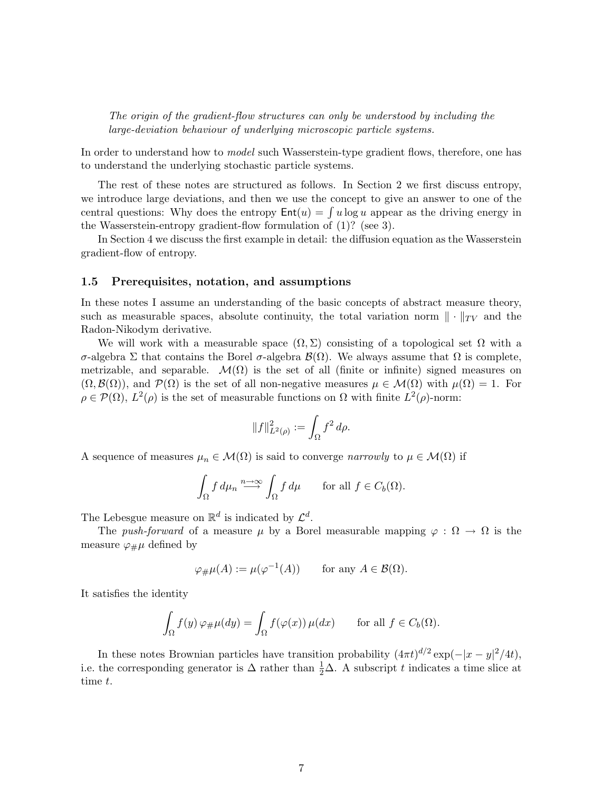The origin of the gradient-flow structures can only be understood by including the large-deviation behaviour of underlying microscopic particle systems.

In order to understand how to *model* such Wasserstein-type gradient flows, therefore, one has to understand the underlying stochastic particle systems.

The rest of these notes are structured as follows. In Section 2 we first discuss entropy, we introduce large deviations, and then we use the concept to give an answer to one of the central questions: Why does the entropy  $Ent(u) = \int u \log u$  appear as the driving energy in the Wasserstein-entropy gradient-flow formulation of (1)? (see 3).

In Section 4 we discuss the first example in detail: the diffusion equation as the Wasserstein gradient-flow of entropy.

#### 1.5 Prerequisites, notation, and assumptions

In these notes I assume an understanding of the basic concepts of abstract measure theory, such as measurable spaces, absolute continuity, the total variation norm  $\|\cdot\|_{TV}$  and the Radon-Nikodym derivative.

We will work with a measurable space  $(\Omega, \Sigma)$  consisting of a topological set  $\Omega$  with a σ-algebra Σ that contains the Borel σ-algebra B(Ω). We always assume that Ω is complete, metrizable, and separable.  $\mathcal{M}(\Omega)$  is the set of all (finite or infinite) signed measures on  $(\Omega, \mathcal{B}(\Omega))$ , and  $\mathcal{P}(\Omega)$  is the set of all non-negative measures  $\mu \in \mathcal{M}(\Omega)$  with  $\mu(\Omega) = 1$ . For  $\rho \in \mathcal{P}(\Omega)$ ,  $L^2(\rho)$  is the set of measurable functions on  $\Omega$  with finite  $L^2(\rho)$ -norm:

$$
||f||_{L^{2}(\rho)}^{2} := \int_{\Omega} f^{2} d\rho.
$$

A sequence of measures  $\mu_n \in \mathcal{M}(\Omega)$  is said to converge narrowly to  $\mu \in \mathcal{M}(\Omega)$  if

$$
\int_{\Omega} f d\mu_n \stackrel{n \to \infty}{\longrightarrow} \int_{\Omega} f d\mu \quad \text{for all } f \in C_b(\Omega).
$$

The Lebesgue measure on  $\mathbb{R}^d$  is indicated by  $\mathcal{L}^d$ .

The push-forward of a measure  $\mu$  by a Borel measurable mapping  $\varphi : \Omega \to \Omega$  is the measure  $\varphi_{\#}\mu$  defined by

$$
\varphi_{\#}\mu(A) := \mu(\varphi^{-1}(A))
$$
 for any  $A \in \mathcal{B}(\Omega)$ .

It satisfies the identity

$$
\int_{\Omega} f(y) \, \varphi_{\#} \mu(dy) = \int_{\Omega} f(\varphi(x)) \, \mu(dx) \qquad \text{for all } f \in C_b(\Omega).
$$

In these notes Brownian particles have transition probability  $(4\pi t)^{d/2} \exp(-|x-y|^2/4t)$ , i.e. the corresponding generator is  $\Delta$  rather than  $\frac{1}{2}\Delta$ . A subscript t indicates a time slice at time t.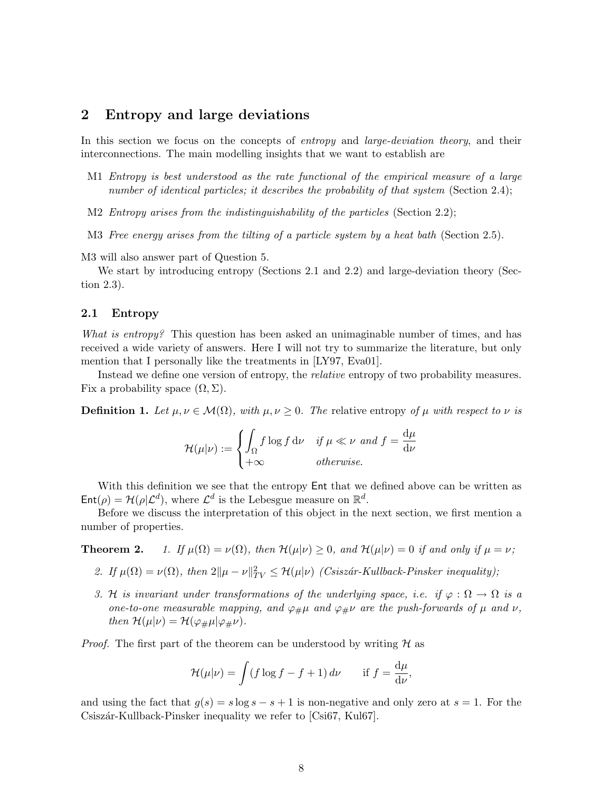### 2 Entropy and large deviations

In this section we focus on the concepts of *entropy* and *large-deviation theory*, and their interconnections. The main modelling insights that we want to establish are

- M1 Entropy is best understood as the rate functional of the empirical measure of a large number of identical particles; it describes the probability of that system (Section 2.4);
- M2 Entropy arises from the indistinguishability of the particles (Section 2.2);
- M3 Free energy arises from the tilting of a particle system by a heat bath (Section 2.5).

M3 will also answer part of Question 5.

We start by introducing entropy (Sections 2.1 and 2.2) and large-deviation theory (Section 2.3).

### 2.1 Entropy

What is entropy? This question has been asked an unimaginable number of times, and has received a wide variety of answers. Here I will not try to summarize the literature, but only mention that I personally like the treatments in [LY97, Eva01].

Instead we define one version of entropy, the relative entropy of two probability measures. Fix a probability space  $(\Omega, \Sigma)$ .

**Definition 1.** Let  $\mu, \nu \in \mathcal{M}(\Omega)$ , with  $\mu, \nu \geq 0$ . The relative entropy of  $\mu$  with respect to  $\nu$  is

$$
\mathcal{H}(\mu|\nu) := \begin{cases} \int_{\Omega} f \log f \, \mathrm{d}\nu & \text{if } \mu \ll \nu \text{ and } f = \frac{\mathrm{d}\mu}{\mathrm{d}\nu} \\ +\infty & \text{otherwise.} \end{cases}
$$

With this definition we see that the entropy Ent that we defined above can be written as  $\mathsf{Ent}(\rho) = \mathcal{H}(\rho | \mathcal{L}^d)$ , where  $\mathcal{L}^d$  is the Lebesgue measure on  $\mathbb{R}^d$ .

Before we discuss the interpretation of this object in the next section, we first mention a number of properties.

**Theorem 2.** 1. If  $\mu(\Omega) = \nu(\Omega)$ , then  $\mathcal{H}(\mu|\nu) \geq 0$ , and  $\mathcal{H}(\mu|\nu) = 0$  if and only if  $\mu = \nu$ ;

- 2. If  $\mu(\Omega) = \nu(\Omega)$ , then  $2\|\mu \nu\|_{TV}^2 \leq \mathcal{H}(\mu|\nu)$  (Csiszár-Kullback-Pinsker inequality);
- 3. H is invariant under transformations of the underlying space, i.e. if  $\varphi : \Omega \to \Omega$  is a one-to-one measurable mapping, and  $\varphi_{\#}\mu$  and  $\varphi_{\#}\nu$  are the push-forwards of  $\mu$  and  $\nu$ , then  $\mathcal{H}(\mu|\nu) = \mathcal{H}(\varphi_{\#}\mu|\varphi_{\#}\nu)$ .

*Proof.* The first part of the theorem can be understood by writing  $H$  as

$$
\mathcal{H}(\mu|\nu) = \int (f \log f - f + 1) \, d\nu \quad \text{if } f = \frac{d\mu}{d\nu},
$$

and using the fact that  $g(s) = s \log s - s + 1$  is non-negative and only zero at  $s = 1$ . For the Csiszár-Kullback-Pinsker inequality we refer to [Csi67, Kul67].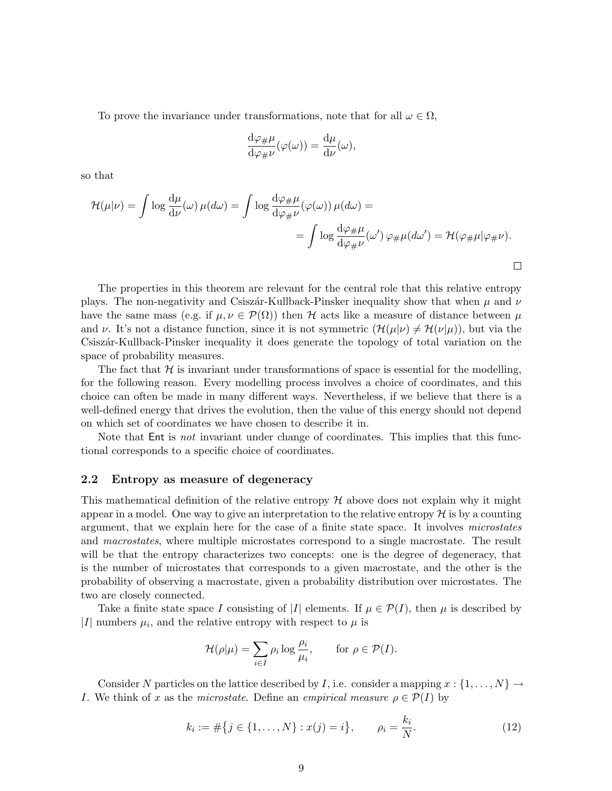To prove the invariance under transformations, note that for all  $\omega \in \Omega$ ,

$$
\frac{\mathrm{d}\varphi_{\#}\mu}{\mathrm{d}\varphi_{\#}\nu}(\varphi(\omega)) = \frac{\mathrm{d}\mu}{\mathrm{d}\nu}(\omega),
$$

so that

$$
\mathcal{H}(\mu|\nu) = \int \log \frac{d\mu}{d\nu}(\omega) \,\mu(d\omega) = \int \log \frac{d\varphi_{\#}\mu}{d\varphi_{\#}\nu}(\varphi(\omega)) \,\mu(d\omega) =
$$

$$
= \int \log \frac{d\varphi_{\#}\mu}{d\varphi_{\#}\nu}(\omega') \,\varphi_{\#}\mu(d\omega') = \mathcal{H}(\varphi_{\#}\mu|\varphi_{\#}\nu).
$$

The properties in this theorem are relevant for the central role that this relative entropy plays. The non-negativity and Csiszár-Kullback-Pinsker inequality show that when  $\mu$  and  $\nu$ have the same mass (e.g. if  $\mu, \nu \in \mathcal{P}(\Omega)$ ) then H acts like a measure of distance between  $\mu$ and v. It's not a distance function, since it is not symmetric  $(\mathcal{H}(\mu|\nu) \neq \mathcal{H}(\nu|\mu))$ , but via the Csisz´ar-Kullback-Pinsker inequality it does generate the topology of total variation on the space of probability measures.

The fact that  $H$  is invariant under transformations of space is essential for the modelling, for the following reason. Every modelling process involves a choice of coordinates, and this choice can often be made in many different ways. Nevertheless, if we believe that there is a well-defined energy that drives the evolution, then the value of this energy should not depend on which set of coordinates we have chosen to describe it in.

Note that Ent is *not* invariant under change of coordinates. This implies that this functional corresponds to a specific choice of coordinates.

### 2.2 Entropy as measure of degeneracy

This mathematical definition of the relative entropy  $H$  above does not explain why it might appear in a model. One way to give an interpretation to the relative entropy  $\mathcal H$  is by a counting argument, that we explain here for the case of a finite state space. It involves microstates and macrostates, where multiple microstates correspond to a single macrostate. The result will be that the entropy characterizes two concepts: one is the degree of degeneracy, that is the number of microstates that corresponds to a given macrostate, and the other is the probability of observing a macrostate, given a probability distribution over microstates. The two are closely connected.

Take a finite state space I consisting of |I| elements. If  $\mu \in \mathcal{P}(I)$ , then  $\mu$  is described by |I| numbers  $\mu_i$ , and the relative entropy with respect to  $\mu$  is

$$
\mathcal{H}(\rho|\mu) = \sum_{i \in I} \rho_i \log \frac{\rho_i}{\mu_i}, \quad \text{for } \rho \in \mathcal{P}(I).
$$

Consider N particles on the lattice described by I, i.e. consider a mapping  $x : \{1, \ldots, N\} \rightarrow$ I. We think of x as the microstate. Define an empirical measure  $\rho \in \mathcal{P}(I)$  by

$$
k_i := \# \{ j \in \{ 1, \dots, N \} : x(j) = i \}, \qquad \rho_i = \frac{k_i}{N}.
$$
 (12)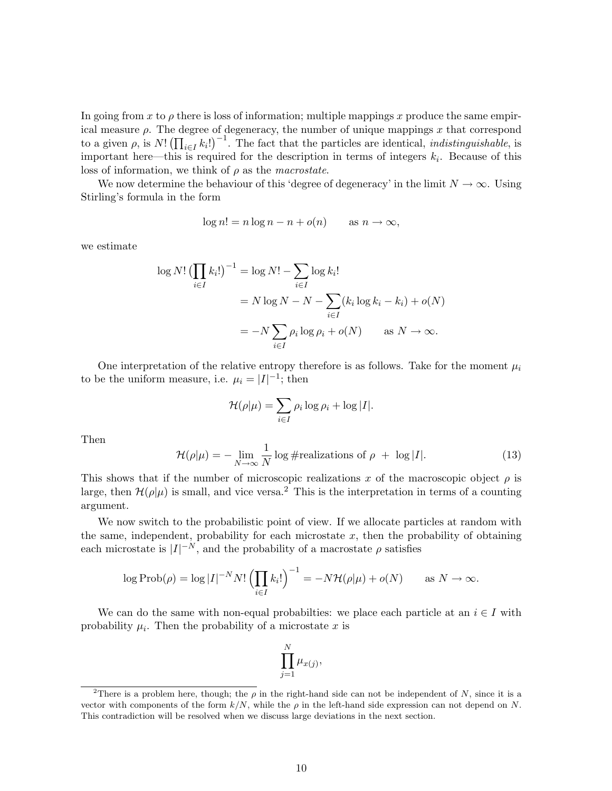In going from x to  $\rho$  there is loss of information; multiple mappings x produce the same empirical measure  $\rho$ . The degree of degeneracy, the number of unique mappings x that correspond to a given  $\rho$ , is  $N! \left( \prod_{i \in I} k_i! \right)^{-1}$ . The fact that the particles are identical, *indistinguishable*, is important here—this is required for the description in terms of integers  $k_i$ . Because of this loss of information, we think of  $\rho$  as the *macrostate*.

We now determine the behaviour of this 'degree of degeneracy' in the limit  $N \to \infty$ . Using Stirling's formula in the form

$$
\log n! = n \log n - n + o(n) \qquad \text{as } n \to \infty,
$$

we estimate

$$
\log N! \left(\prod_{i \in I} k_i!\right)^{-1} = \log N! - \sum_{i \in I} \log k_i!
$$
  
=  $N \log N - N - \sum_{i \in I} (k_i \log k_i - k_i) + o(N)$   
=  $-N \sum_{i \in I} \rho_i \log \rho_i + o(N)$  as  $N \to \infty$ .

One interpretation of the relative entropy therefore is as follows. Take for the moment  $\mu_i$ to be the uniform measure, i.e.  $\mu_i = |I|^{-1}$ ; then

$$
\mathcal{H}(\rho|\mu) = \sum_{i \in I} \rho_i \log \rho_i + \log |I|.
$$

Then

$$
\mathcal{H}(\rho|\mu) = -\lim_{N \to \infty} \frac{1}{N} \log \# \text{realizations of } \rho + \log |I|.
$$
 (13)

This shows that if the number of microscopic realizations x of the macroscopic object  $\rho$  is large, then  $\mathcal{H}(\rho|\mu)$  is small, and vice versa.<sup>2</sup> This is the interpretation in terms of a counting argument.

We now switch to the probabilistic point of view. If we allocate particles at random with the same, independent, probability for each microstate  $x$ , then the probability of obtaining each microstate is  $|I|^{-N}$ , and the probability of a macrostate  $\rho$  satisfies

$$
\log \operatorname{Prob}(\rho) = \log |I|^{-N} N! \left(\prod_{i \in I} k_i!\right)^{-1} = -N \mathcal{H}(\rho|\mu) + o(N) \quad \text{as } N \to \infty.
$$

We can do the same with non-equal probabilties: we place each particle at an  $i \in I$  with probability  $\mu_i$ . Then the probability of a microstate x is

$$
\prod_{j=1}^N \mu_{x(j)},
$$

<sup>&</sup>lt;sup>2</sup>There is a problem here, though; the  $\rho$  in the right-hand side can not be independent of N, since it is a vector with components of the form  $k/N$ , while the  $\rho$  in the left-hand side expression can not depend on N. This contradiction will be resolved when we discuss large deviations in the next section.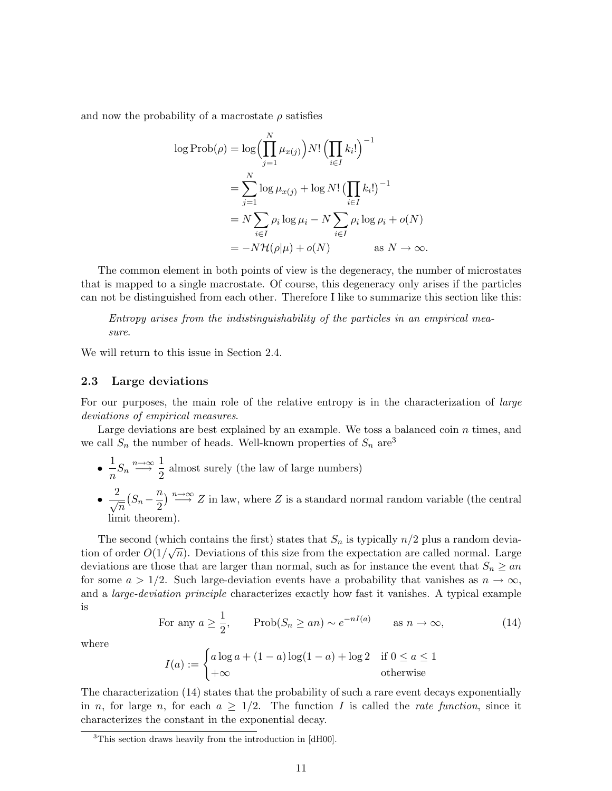and now the probability of a macrostate  $\rho$  satisfies

$$
\log \operatorname{Prob}(\rho) = \log \Biggl( \prod_{j=1}^{N} \mu_{x(j)} \Biggr) N! \Biggl( \prod_{i \in I} k_i! \Biggr)^{-1}
$$
  
= 
$$
\sum_{j=1}^{N} \log \mu_{x(j)} + \log N! \Biggl( \prod_{i \in I} k_i! \Biggr)^{-1}
$$
  
= 
$$
N \sum_{i \in I} \rho_i \log \mu_i - N \sum_{i \in I} \rho_i \log \rho_i + o(N)
$$
  
= 
$$
-N \mathcal{H}(\rho | \mu) + o(N) \qquad \text{as } N \to \infty.
$$

The common element in both points of view is the degeneracy, the number of microstates that is mapped to a single macrostate. Of course, this degeneracy only arises if the particles can not be distinguished from each other. Therefore I like to summarize this section like this:

Entropy arises from the indistinguishability of the particles in an empirical measure.

We will return to this issue in Section 2.4.

### 2.3 Large deviations

For our purposes, the main role of the relative entropy is in the characterization of large deviations of empirical measures.

Large deviations are best explained by an example. We toss a balanced coin  $n$  times, and we call  $S_n$  the number of heads. Well-known properties of  $S_n$  are<sup>3</sup>

- $\bullet$ <sup>1</sup>  $\frac{1}{n}S_n \stackrel{n\to\infty}{\longrightarrow} \frac{1}{2}$  $\frac{1}{2}$  almost surely (the law of large numbers)
- $\bullet$   $\frac{2}{\sqrt{n}}$  $\left(S_n - \frac{n}{2}\right)$  $\frac{n}{2}$ )  $\stackrel{n\rightarrow\infty}{\longrightarrow} Z$  in law, where Z is a standard normal random variable (the central limit theorem).

The second (which contains the first) states that  $S_n$  is typically  $n/2$  plus a random deviation of order  $O(1/\sqrt{n})$ . Deviations of this size from the expectation are called normal. Large deviations are those that are larger than normal, such as for instance the event that  $S_n \geq an$ for some  $a > 1/2$ . Such large-deviation events have a probability that vanishes as  $n \to \infty$ , and a large-deviation principle characterizes exactly how fast it vanishes. A typical example is

For any 
$$
a \ge \frac{1}{2}
$$
,  $\text{Prob}(S_n \ge an) \sim e^{-nI(a)}$  as  $n \to \infty$ , (14)

where

$$
I(a) := \begin{cases} a\log a + (1-a)\log(1-a) + \log 2 & \text{if } 0 \le a \le 1 \\ +\infty & \text{otherwise} \end{cases}
$$

The characterization (14) states that the probability of such a rare event decays exponentially in n, for large n, for each  $a \geq 1/2$ . The function I is called the rate function, since it characterizes the constant in the exponential decay.

<sup>&</sup>lt;sup>3</sup>This section draws heavily from the introduction in [dH00].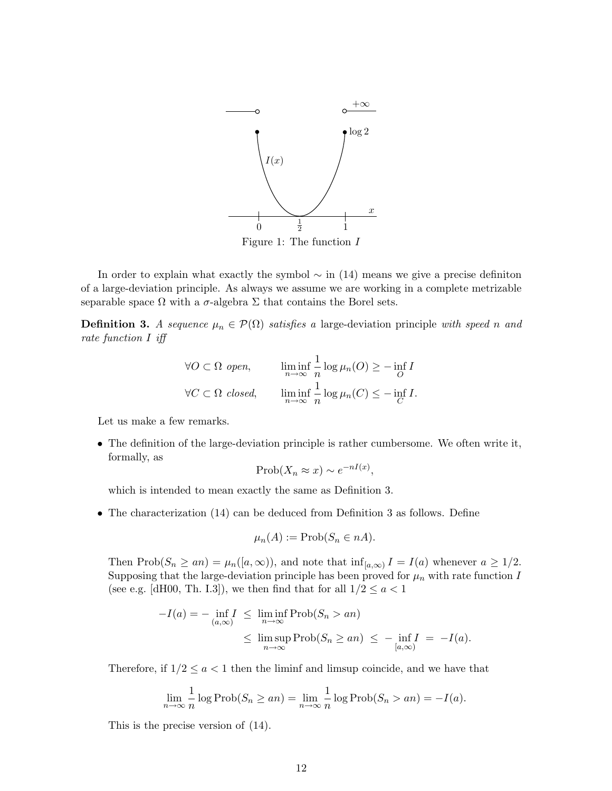

In order to explain what exactly the symbol  $\sim$  in (14) means we give a precise definiton of a large-deviation principle. As always we assume we are working in a complete metrizable separable space  $\Omega$  with a  $\sigma$ -algebra  $\Sigma$  that contains the Borel sets.

**Definition 3.** A sequence  $\mu_n \in \mathcal{P}(\Omega)$  satisfies a large-deviation principle with speed n and rate function I iff

$$
\forall O \subset \Omega \text{ open}, \qquad \liminf_{n \to \infty} \frac{1}{n} \log \mu_n(O) \ge - \inf_{O} I
$$
  

$$
\forall C \subset \Omega \text{ closed}, \qquad \liminf_{n \to \infty} \frac{1}{n} \log \mu_n(C) \le - \inf_{C} I.
$$

Let us make a few remarks.

• The definition of the large-deviation principle is rather cumbersome. We often write it, formally, as

$$
\text{Prob}(X_n \approx x) \sim e^{-nI(x)},
$$

which is intended to mean exactly the same as Definition 3.

• The characterization (14) can be deduced from Definition 3 as follows. Define

$$
\mu_n(A) := \text{Prob}(S_n \in nA).
$$

Then Prob $(S_n \ge a_n) = \mu_n([a, \infty))$ , and note that  $\inf_{[a, \infty)} I = I(a)$  whenever  $a \ge 1/2$ . Supposing that the large-deviation principle has been proved for  $\mu_n$  with rate function I (see e.g. [dH00, Th. I.3]), we then find that for all  $1/2 \le a < 1$ 

$$
-I(a) = -\inf_{(a,\infty)} I \le \liminf_{n \to \infty} \text{Prob}(S_n > an)
$$
  

$$
\le \limsup_{n \to \infty} \text{Prob}(S_n \ge an) \le -\inf_{[a,\infty)} I = -I(a).
$$

Therefore, if  $1/2 \le a < 1$  then the liminf and limsup coincide, and we have that

$$
\lim_{n \to \infty} \frac{1}{n} \log \text{Prob}(S_n \ge an) = \lim_{n \to \infty} \frac{1}{n} \log \text{Prob}(S_n > an) = -I(a).
$$

This is the precise version of (14).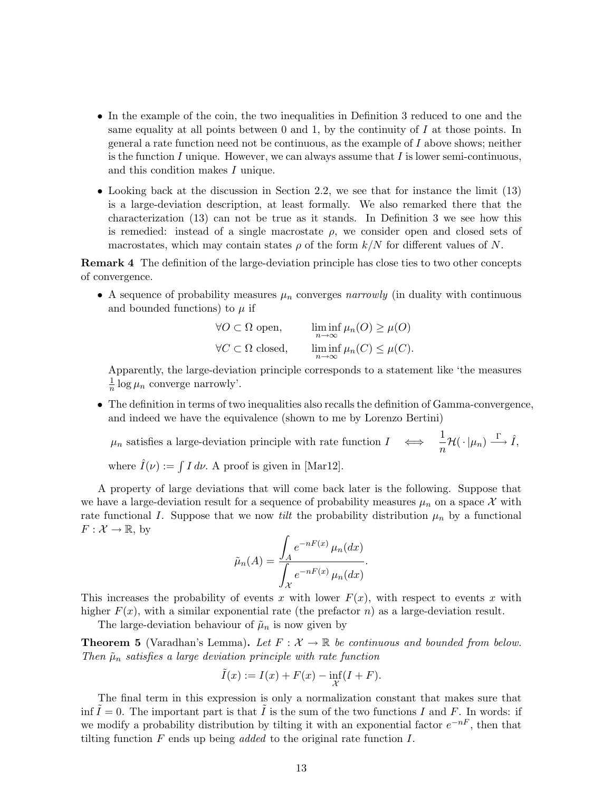- In the example of the coin, the two inequalities in Definition 3 reduced to one and the same equality at all points between 0 and 1, by the continuity of I at those points. In general a rate function need not be continuous, as the example of  $I$  above shows; neither is the function I unique. However, we can always assume that I is lower semi-continuous, and this condition makes I unique.
- Looking back at the discussion in Section 2.2, we see that for instance the limit (13) is a large-deviation description, at least formally. We also remarked there that the characterization (13) can not be true as it stands. In Definition 3 we see how this is remedied: instead of a single macrostate  $\rho$ , we consider open and closed sets of macrostates, which may contain states  $\rho$  of the form  $k/N$  for different values of N.

Remark 4 The definition of the large-deviation principle has close ties to two other concepts of convergence.

• A sequence of probability measures  $\mu_n$  converges narrowly (in duality with continuous and bounded functions) to  $\mu$  if

| $\forall O \subset \Omega$ open,   | $\liminf_{n\to\infty}\mu_n(O)\geq\mu(O)$  |
|------------------------------------|-------------------------------------------|
| $\forall C \subset \Omega$ closed, | $\liminf_{n\to\infty}\mu_n(C)\leq\mu(C).$ |

Apparently, the large-deviation principle corresponds to a statement like 'the measures 1  $\frac{1}{n} \log \mu_n$  converge narrowly'.

• The definition in terms of two inequalities also recalls the definition of Gamma-convergence, and indeed we have the equivalence (shown to me by Lorenzo Bertini)

 $\mu_n$  satisfies a large-deviation principle with rate function  $I \leftrightarrow \frac{1}{n}$  $\frac{1}{n}\mathcal{H}(\cdot | \mu_n) \stackrel{\Gamma}{\longrightarrow} \hat{I},$ 

where  $\hat{I}(\nu) := \int I d\nu$ . A proof is given in [Mar12].

A property of large deviations that will come back later is the following. Suppose that we have a large-deviation result for a sequence of probability measures  $\mu_n$  on a space X with rate functional I. Suppose that we now *tilt* the probability distribution  $\mu_n$  by a functional  $F: \mathcal{X} \to \mathbb{R}$ , by

$$
\tilde{\mu}_n(A) = \frac{\int_A e^{-nF(x)} \mu_n(dx)}{\int_{\mathcal{X}} e^{-nF(x)} \mu_n(dx)}.
$$

This increases the probability of events x with lower  $F(x)$ , with respect to events x with higher  $F(x)$ , with a similar exponential rate (the prefactor n) as a large-deviation result.

The large-deviation behaviour of  $\tilde{\mu}_n$  is now given by

**Theorem 5** (Varadhan's Lemma). Let  $F: \mathcal{X} \to \mathbb{R}$  be continuous and bounded from below. Then  $\tilde{\mu}_n$  satisfies a large deviation principle with rate function

$$
\tilde{I}(x) := I(x) + F(x) - \inf_{\mathcal{X}} (I + F).
$$

The final term in this expression is only a normalization constant that makes sure that inf  $\tilde{I} = 0$ . The important part is that  $\tilde{I}$  is the sum of the two functions I and F. In words: if we modify a probability distribution by tilting it with an exponential factor  $e^{-nF}$ , then that tilting function  $F$  ends up being *added* to the original rate function  $I$ .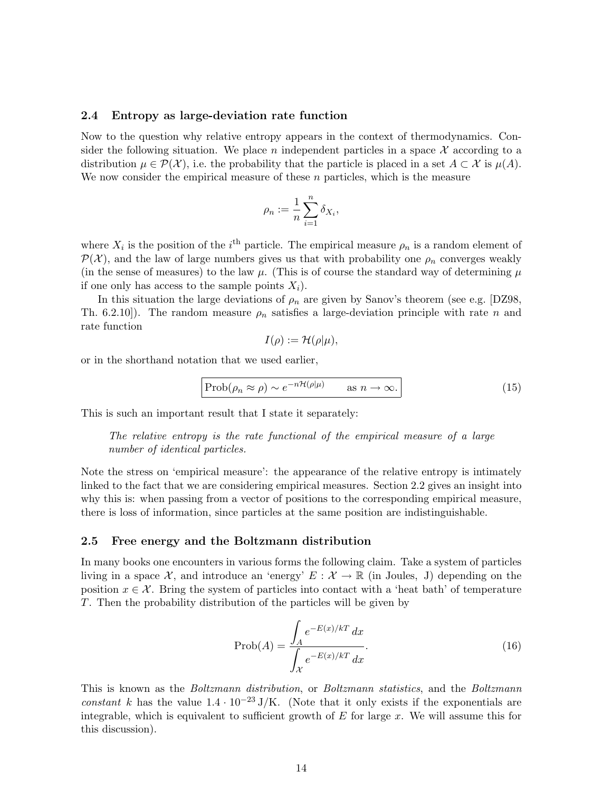#### 2.4 Entropy as large-deviation rate function

Now to the question why relative entropy appears in the context of thermodynamics. Consider the following situation. We place n independent particles in a space  $\mathcal X$  according to a distribution  $\mu \in \mathcal{P}(\mathcal{X})$ , i.e. the probability that the particle is placed in a set  $A \subset \mathcal{X}$  is  $\mu(A)$ . We now consider the empirical measure of these  $n$  particles, which is the measure

$$
\rho_n:=\frac{1}{n}\sum_{i=1}^n \delta_{X_i},
$$

where  $X_i$  is the position of the i<sup>th</sup> particle. The empirical measure  $\rho_n$  is a random element of  $\mathcal{P}(\mathcal{X})$ , and the law of large numbers gives us that with probability one  $\rho_n$  converges weakly (in the sense of measures) to the law  $\mu$ . (This is of course the standard way of determining  $\mu$ if one only has access to the sample points  $X_i$ ).

In this situation the large deviations of  $\rho_n$  are given by Sanov's theorem (see e.g. [DZ98, Th. 6.2.10]). The random measure  $\rho_n$  satisfies a large-deviation principle with rate n and rate function

$$
I(\rho) := \mathcal{H}(\rho|\mu),
$$

or in the shorthand notation that we used earlier,

$$
\boxed{\text{Prob}(\rho_n \approx \rho) \sim e^{-n\mathcal{H}(\rho|\mu)} \qquad \text{as } n \to \infty.}
$$
 (15)

This is such an important result that I state it separately:

The relative entropy is the rate functional of the empirical measure of a large number of identical particles.

Note the stress on 'empirical measure': the appearance of the relative entropy is intimately linked to the fact that we are considering empirical measures. Section 2.2 gives an insight into why this is: when passing from a vector of positions to the corresponding empirical measure, there is loss of information, since particles at the same position are indistinguishable.

### 2.5 Free energy and the Boltzmann distribution

In many books one encounters in various forms the following claim. Take a system of particles living in a space X, and introduce an 'energy'  $E : \mathcal{X} \to \mathbb{R}$  (in Joules, J) depending on the position  $x \in \mathcal{X}$ . Bring the system of particles into contact with a 'heat bath' of temperature T. Then the probability distribution of the particles will be given by

$$
\text{Prob}(A) = \frac{\int_{A} e^{-E(x)/kT} dx}{\int_{\mathcal{X}} e^{-E(x)/kT} dx}.
$$
\n(16)

This is known as the *Boltzmann distribution*, or *Boltzmann statistics*, and the *Boltzmann* constant k has the value  $1.4 \cdot 10^{-23}$  J/K. (Note that it only exists if the exponentials are integrable, which is equivalent to sufficient growth of  $E$  for large  $x$ . We will assume this for this discussion).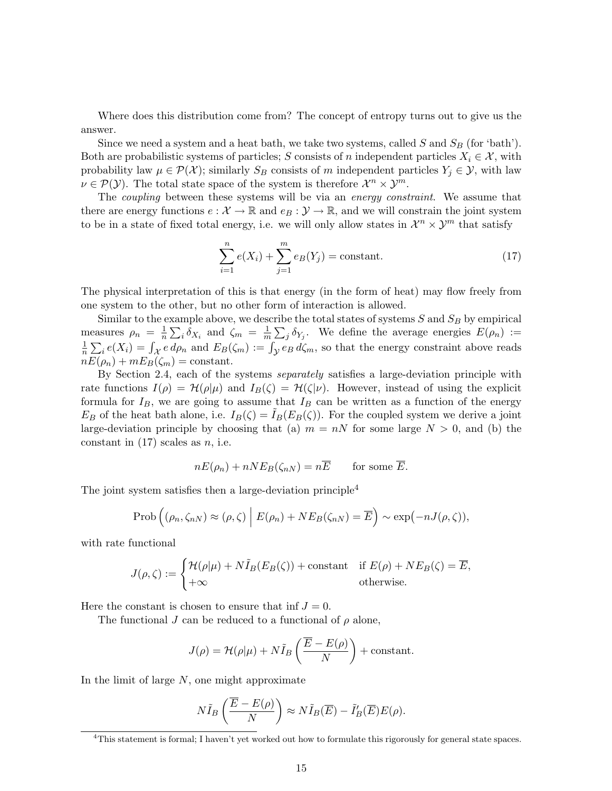Where does this distribution come from? The concept of entropy turns out to give us the answer.

Since we need a system and a heat bath, we take two systems, called  $S$  and  $S_B$  (for 'bath'). Both are probabilistic systems of particles; S consists of n independent particles  $X_i \in \mathcal{X}$ , with probability law  $\mu \in \mathcal{P}(\mathcal{X})$ ; similarly  $S_B$  consists of m independent particles  $Y_j \in \mathcal{Y}$ , with law  $\nu \in \mathcal{P}(\mathcal{Y})$ . The total state space of the system is therefore  $\mathcal{X}^n \times \mathcal{Y}^m$ .

The *coupling* between these systems will be via an *energy constraint*. We assume that there are energy functions  $e: \mathcal{X} \to \mathbb{R}$  and  $e_B: \mathcal{Y} \to \mathbb{R}$ , and we will constrain the joint system to be in a state of fixed total energy, i.e. we will only allow states in  $\mathcal{X}^n \times \mathcal{Y}^m$  that satisfy

$$
\sum_{i=1}^{n} e(X_i) + \sum_{j=1}^{m} e_B(Y_j) = \text{constant.}
$$
 (17)

The physical interpretation of this is that energy (in the form of heat) may flow freely from one system to the other, but no other form of interaction is allowed.

Similar to the example above, we describe the total states of systems  $S$  and  $S_B$  by empirical measures  $\rho_n = \frac{1}{n}$  $\frac{1}{n} \sum_i \delta_{X_i}$  and  $\zeta_m = \frac{1}{m}$  $\frac{1}{m}\sum_j \delta_{Y_j}$ . We define the average energies  $E(\rho_n) :=$ 1  $\frac{1}{n}\sum_i e(X_i) = \int_{\mathcal{X}} e d\rho_n$  and  $E_B(\zeta_m) := \int_{\mathcal{Y}} e_B d\zeta_m$ , so that the energy constraint above reads  $nE(\rho_n) + mE_B(\zeta_m) = \text{constant}.$ 

By Section 2.4, each of the systems separately satisfies a large-deviation principle with rate functions  $I(\rho) = \mathcal{H}(\rho|\mu)$  and  $I_B(\zeta) = \mathcal{H}(\zeta|\nu)$ . However, instead of using the explicit formula for  $I_B$ , we are going to assume that  $I_B$  can be written as a function of the energy  $E_B$  of the heat bath alone, i.e.  $I_B(\zeta) = I_B(E_B(\zeta))$ . For the coupled system we derive a joint large-deviation principle by choosing that (a)  $m = nN$  for some large  $N > 0$ , and (b) the constant in  $(17)$  scales as n, i.e.

$$
nE(\rho_n) + nNE_B(\zeta_{nN}) = n\overline{E}
$$
 for some  $\overline{E}$ .

The joint system satisfies then a large-deviation principle<sup>4</sup>

$$
\mathrm{Prob}\left((\rho_n,\zeta_{nN})\approx(\rho,\zeta)\,\Big|\,E(\rho_n)+NE_B(\zeta_{nN})=\overline{E}\right)\sim\exp(-nJ(\rho,\zeta)),
$$

with rate functional

$$
J(\rho,\zeta) := \begin{cases} \mathcal{H}(\rho|\mu) + N\tilde{I}_B(E_B(\zeta)) + \text{constant} & \text{if } E(\rho) + NE_B(\zeta) = \overline{E}, \\ +\infty & \text{otherwise.} \end{cases}
$$

Here the constant is chosen to ensure that inf  $J = 0$ .

The functional J can be reduced to a functional of  $\rho$  alone,

$$
J(\rho) = \mathcal{H}(\rho|\mu) + N\tilde{I}_B\left(\frac{\overline{E} - E(\rho)}{N}\right) + \text{constant}.
$$

In the limit of large  $N$ , one might approximate

$$
N\tilde{I}_B\left(\frac{\overline{E}-E(\rho)}{N}\right) \approx N\tilde{I}_B(\overline{E}) - \tilde{I}'_B(\overline{E})E(\rho).
$$

 ${}^{4}$ This statement is formal; I haven't yet worked out how to formulate this rigorously for general state spaces.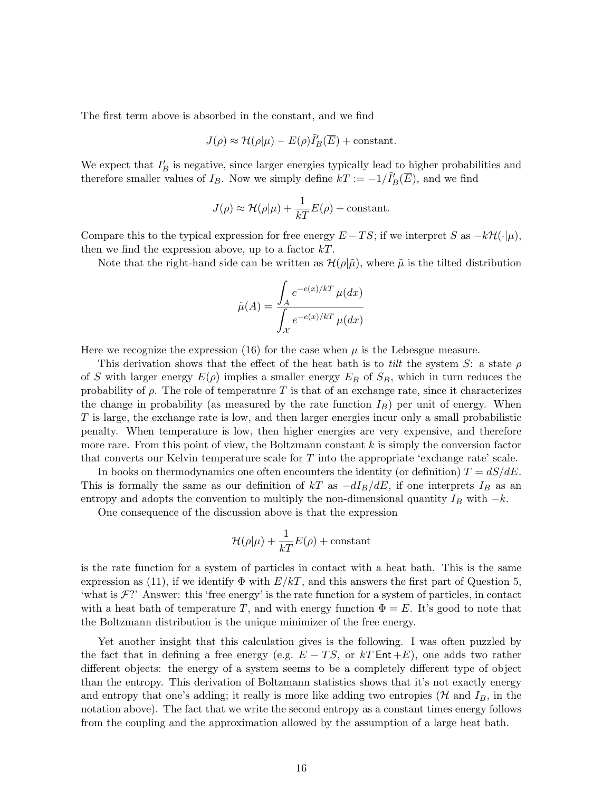The first term above is absorbed in the constant, and we find

$$
J(\rho) \approx \mathcal{H}(\rho|\mu) - E(\rho)\tilde{I}'_B(\overline{E}) + \text{constant}.
$$

We expect that  $I'_B$  is negative, since larger energies typically lead to higher probabilities and therefore smaller values of  $I_B$ . Now we simply define  $kT := -1/\tilde{I}_B'(\overline{E})$ , and we find

$$
J(\rho) \approx \mathcal{H}(\rho|\mu) + \frac{1}{kT}E(\rho) + \text{constant}.
$$

Compare this to the typical expression for free energy  $E - TS$ ; if we interpret S as  $-k\mathcal{H}(\cdot|\mu)$ , then we find the expression above, up to a factor  $kT$ .

Note that the right-hand side can be written as  $\mathcal{H}(\rho|\tilde{\mu})$ , where  $\tilde{\mu}$  is the tilted distribution

$$
\tilde{\mu}(A) = \frac{\int_A e^{-e(x)/kT} \mu(dx)}{\int_{\mathcal{X}} e^{-e(x)/kT} \mu(dx)}
$$

Here we recognize the expression (16) for the case when  $\mu$  is the Lebesgue measure.

This derivation shows that the effect of the heat bath is to tilt the system S: a state  $\rho$ of S with larger energy  $E(\rho)$  implies a smaller energy  $E_B$  of  $S_B$ , which in turn reduces the probability of  $\rho$ . The role of temperature T is that of an exchange rate, since it characterizes the change in probability (as measured by the rate function  $I_B$ ) per unit of energy. When T is large, the exchange rate is low, and then larger energies incur only a small probabilistic penalty. When temperature is low, then higher energies are very expensive, and therefore more rare. From this point of view, the Boltzmann constant  $k$  is simply the conversion factor that converts our Kelvin temperature scale for  $T$  into the appropriate 'exchange rate' scale.

In books on thermodynamics one often encounters the identity (or definition)  $T = dS/dE$ . This is formally the same as our definition of kT as  $-dI_B/dE$ , if one interprets  $I_B$  as an entropy and adopts the convention to multiply the non-dimensional quantity  $I_B$  with  $-k$ .

One consequence of the discussion above is that the expression

$$
\mathcal{H}(\rho|\mu) + \frac{1}{kT}E(\rho) + \text{constant}
$$

is the rate function for a system of particles in contact with a heat bath. This is the same expression as (11), if we identify  $\Phi$  with  $E/kT$ , and this answers the first part of Question 5, 'what is  $\mathcal{F}$ ?' Answer: this 'free energy' is the rate function for a system of particles, in contact with a heat bath of temperature T, and with energy function  $\Phi = E$ . It's good to note that the Boltzmann distribution is the unique minimizer of the free energy.

Yet another insight that this calculation gives is the following. I was often puzzled by the fact that in defining a free energy (e.g.  $E - TS$ , or kT Ent +E), one adds two rather different objects: the energy of a system seems to be a completely different type of object than the entropy. This derivation of Boltzmann statistics shows that it's not exactly energy and entropy that one's adding; it really is more like adding two entropies ( $\mathcal{H}$  and  $I_B$ , in the notation above). The fact that we write the second entropy as a constant times energy follows from the coupling and the approximation allowed by the assumption of a large heat bath.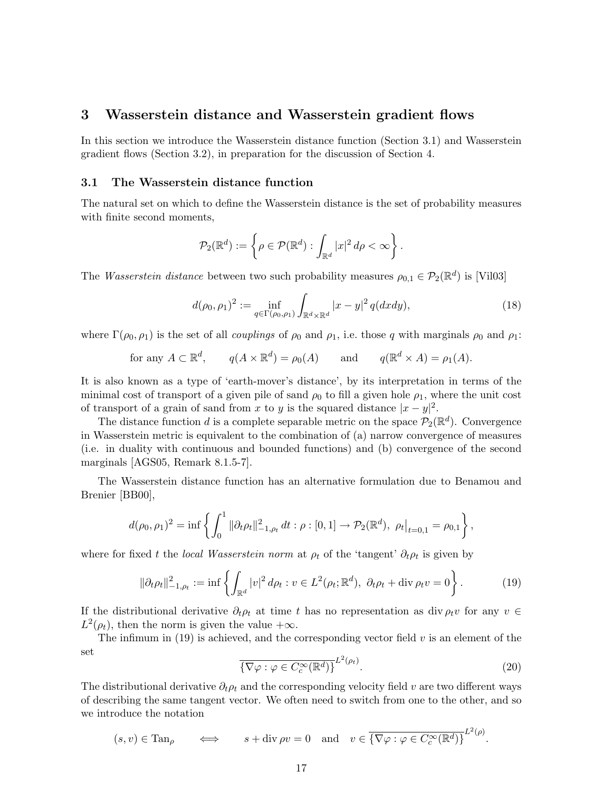### 3 Wasserstein distance and Wasserstein gradient flows

In this section we introduce the Wasserstein distance function (Section 3.1) and Wasserstein gradient flows (Section 3.2), in preparation for the discussion of Section 4.

### 3.1 The Wasserstein distance function

The natural set on which to define the Wasserstein distance is the set of probability measures with finite second moments,

$$
\mathcal{P}_2(\mathbb{R}^d) := \left\{ \rho \in \mathcal{P}(\mathbb{R}^d) : \int_{\mathbb{R}^d} |x|^2 \, d\rho < \infty \right\}.
$$

The *Wasserstein distance* between two such probability measures  $\rho_{0,1} \in \mathcal{P}_2(\mathbb{R}^d)$  is [Vil03]

$$
d(\rho_0, \rho_1)^2 := \inf_{q \in \Gamma(\rho_0, \rho_1)} \int_{\mathbb{R}^d \times \mathbb{R}^d} |x - y|^2 q(dx dy), \tag{18}
$$

where  $\Gamma(\rho_0, \rho_1)$  is the set of all *couplings* of  $\rho_0$  and  $\rho_1$ , i.e. those q with marginals  $\rho_0$  and  $\rho_1$ :

for any 
$$
A \subset \mathbb{R}^d
$$
,  $q(A \times \mathbb{R}^d) = \rho_0(A)$  and  $q(\mathbb{R}^d \times A) = \rho_1(A)$ .

It is also known as a type of 'earth-mover's distance', by its interpretation in terms of the minimal cost of transport of a given pile of sand  $\rho_0$  to fill a given hole  $\rho_1$ , where the unit cost of transport of a grain of sand from x to y is the squared distance  $|x-y|^2$ .

The distance function d is a complete separable metric on the space  $\mathcal{P}_2(\mathbb{R}^d)$ . Convergence in Wasserstein metric is equivalent to the combination of (a) narrow convergence of measures (i.e. in duality with continuous and bounded functions) and (b) convergence of the second marginals [AGS05, Remark 8.1.5-7].

The Wasserstein distance function has an alternative formulation due to Benamou and Brenier [BB00],

$$
d(\rho_0, \rho_1)^2 = \inf \left\{ \int_0^1 \|\partial_t \rho_t\|_{-1, \rho_t}^2 dt : \rho : [0, 1] \to \mathcal{P}_2(\mathbb{R}^d), \ \rho_t \big|_{t=0, 1} = \rho_{0,1} \right\},\
$$

where for fixed t the *local Wasserstein norm* at  $\rho_t$  of the 'tangent'  $\partial_t \rho_t$  is given by

$$
\|\partial_t \rho_t\|_{-1,\rho_t}^2 := \inf \left\{ \int_{\mathbb{R}^d} |v|^2 \, d\rho_t : v \in L^2(\rho_t; \mathbb{R}^d), \ \partial_t \rho_t + \text{div} \, \rho_t v = 0 \right\}.
$$
 (19)

If the distributional derivative  $\partial_t \rho_t$  at time t has no representation as div  $\rho_t v$  for any  $v \in$  $L^2(\rho_t)$ , then the norm is given the value  $+\infty$ .

The infimum in  $(19)$  is achieved, and the corresponding vector field  $v$  is an element of the set

$$
\overline{\{\nabla\varphi : \varphi \in C_c^{\infty}(\mathbb{R}^d)\}}^{L^2(\rho_t)}.
$$
\n(20)

The distributional derivative  $\partial_t \rho_t$  and the corresponding velocity field v are two different ways of describing the same tangent vector. We often need to switch from one to the other, and so we introduce the notation

$$
(s, v) \in \text{Tan}_{\rho} \qquad \Longleftrightarrow \qquad s + \text{div} \, \rho v = 0 \quad \text{and} \quad v \in \overline{\{\nabla \varphi : \varphi \in C_c^{\infty}(\mathbb{R}^d)\}}^{L^2(\rho)}.
$$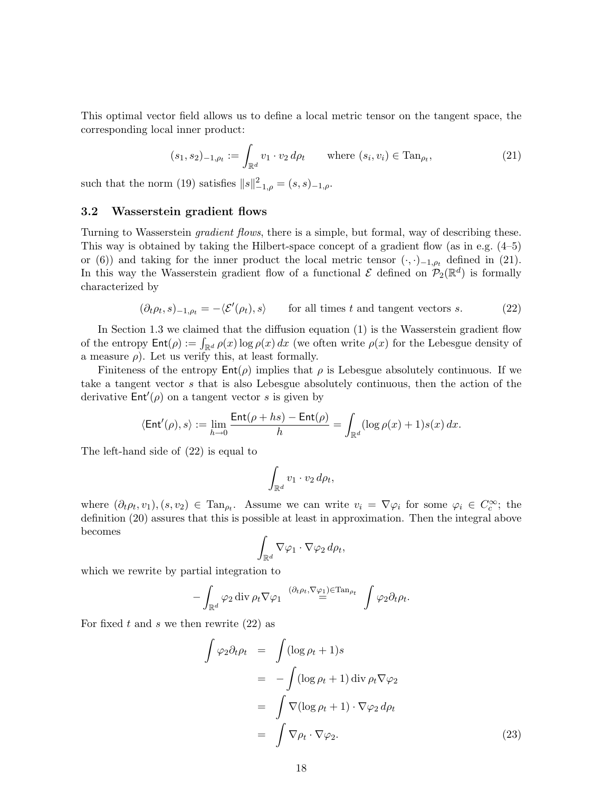This optimal vector field allows us to define a local metric tensor on the tangent space, the corresponding local inner product:

$$
(s_1, s_2)_{-1, \rho_t} := \int_{\mathbb{R}^d} v_1 \cdot v_2 \, d\rho_t \qquad \text{where } (s_i, v_i) \in \text{Tan}_{\rho_t}, \tag{21}
$$

such that the norm (19) satisfies  $||s||_{-1,\rho}^2 = (s, s)_{-1,\rho}$ .

### 3.2 Wasserstein gradient flows

Turning to Wasserstein gradient flows, there is a simple, but formal, way of describing these. This way is obtained by taking the Hilbert-space concept of a gradient flow (as in e.g. (4–5) or (6)) and taking for the inner product the local metric tensor  $(\cdot, \cdot)_{-1,\rho_t}$  defined in (21). In this way the Wasserstein gradient flow of a functional  $\mathcal E$  defined on  $\mathcal P_2(\mathbb R^d)$  is formally characterized by

$$
(\partial_t \rho_t, s)_{-1, \rho_t} = -\langle \mathcal{E}'(\rho_t), s \rangle \qquad \text{for all times } t \text{ and tangent vectors } s. \tag{22}
$$

In Section 1.3 we claimed that the diffusion equation (1) is the Wasserstein gradient flow of the entropy  $\text{Ent}(\rho) := \int_{\mathbb{R}^d} \rho(x) \log \rho(x) dx$  (we often write  $\rho(x)$  for the Lebesgue density of a measure  $\rho$ ). Let us verify this, at least formally.

Finiteness of the entropy  $Ent(\rho)$  implies that  $\rho$  is Lebesgue absolutely continuous. If we take a tangent vector s that is also Lebesgue absolutely continuous, then the action of the derivative  $Ent'(\rho)$  on a tangent vector s is given by

$$
\langle \mathsf{Ent}'(\rho),s\rangle:=\lim_{h\to 0}\frac{\mathsf{Ent}(\rho+hs)-\mathsf{Ent}(\rho)}{h}=\int_{\mathbb{R}^d}(\log\rho(x)+1)s(x)\,dx.
$$

The left-hand side of (22) is equal to

$$
\int_{\mathbb{R}^d} v_1 \cdot v_2 \, d\rho_t,
$$

where  $(\partial_t \rho_t, v_1), (s, v_2) \in \text{Tan}_{\rho_t}$ . Assume we can write  $v_i = \nabla \varphi_i$  for some  $\varphi_i \in C_c^{\infty}$ ; the definition (20) assures that this is possible at least in approximation. Then the integral above becomes

$$
\int_{\mathbb{R}^d} \nabla \varphi_1 \cdot \nabla \varphi_2 \, d\rho_t,
$$

which we rewrite by partial integration to

$$
-\int_{\mathbb{R}^d} \varphi_2 \operatorname{div} \rho_t \nabla \varphi_1 \stackrel{(\partial_t \rho_t, \nabla \varphi_1) \in \operatorname{Tan}_{\rho_t}}{=} \int \varphi_2 \partial_t \rho_t.
$$

For fixed t and s we then rewrite  $(22)$  as

$$
\int \varphi_2 \partial_t \rho_t = \int (\log \rho_t + 1) s
$$
  
= 
$$
- \int (\log \rho_t + 1) \operatorname{div} \rho_t \nabla \varphi_2
$$
  
= 
$$
\int \nabla (\log \rho_t + 1) \cdot \nabla \varphi_2 d\rho_t
$$
  
= 
$$
\int \nabla \rho_t \cdot \nabla \varphi_2.
$$
 (23)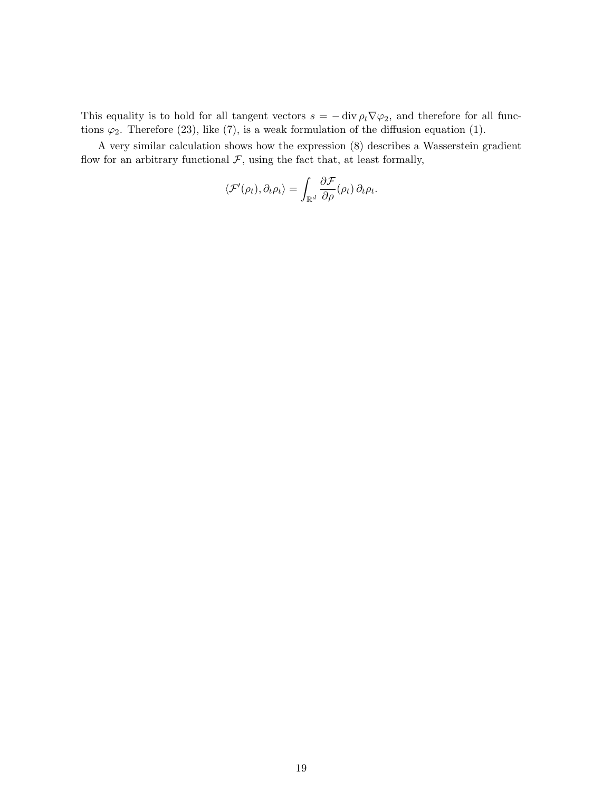This equality is to hold for all tangent vectors  $s = - \text{div } \rho_t \nabla \varphi_2$ , and therefore for all functions  $\varphi_2$ . Therefore (23), like (7), is a weak formulation of the diffusion equation (1).

A very similar calculation shows how the expression (8) describes a Wasserstein gradient flow for an arbitrary functional  $\mathcal{F}$ , using the fact that, at least formally,

$$
\langle \mathcal{F}'(\rho_t), \partial_t \rho_t \rangle = \int_{\mathbb{R}^d} \frac{\partial \mathcal{F}}{\partial \rho}(\rho_t) \, \partial_t \rho_t.
$$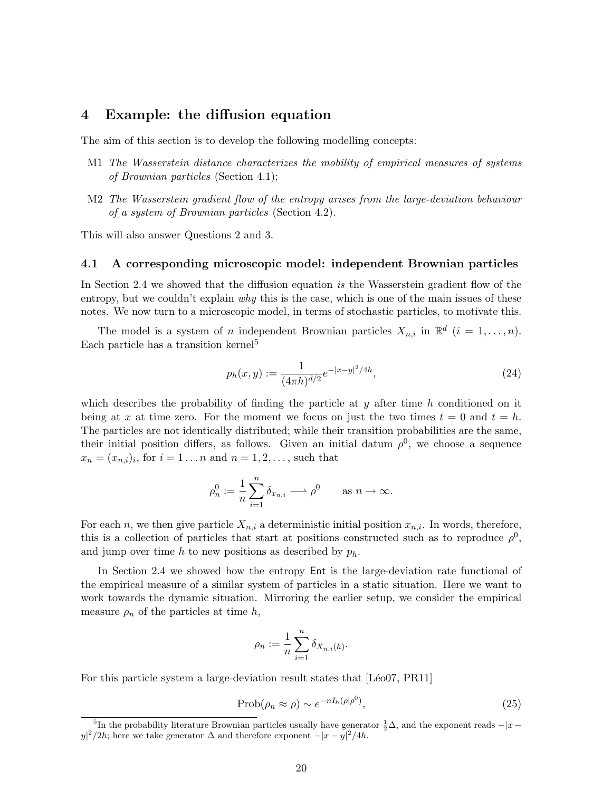### 4 Example: the diffusion equation

The aim of this section is to develop the following modelling concepts:

- M1 The Wasserstein distance characterizes the mobility of empirical measures of systems of Brownian particles (Section 4.1);
- M2 The Wasserstein gradient flow of the entropy arises from the large-deviation behaviour of a system of Brownian particles (Section 4.2).

This will also answer Questions 2 and 3.

#### 4.1 A corresponding microscopic model: independent Brownian particles

In Section 2.4 we showed that the diffusion equation is the Wasserstein gradient flow of the entropy, but we couldn't explain why this is the case, which is one of the main issues of these notes. We now turn to a microscopic model, in terms of stochastic particles, to motivate this.

The model is a system of *n* independent Brownian particles  $X_{n,i}$  in  $\mathbb{R}^d$   $(i = 1, \ldots, n)$ . Each particle has a transition kernel<sup>5</sup>

$$
p_h(x,y) := \frac{1}{(4\pi h)^{d/2}} e^{-|x-y|^2/4h},\tag{24}
$$

which describes the probability of finding the particle at  $y$  after time h conditioned on it being at x at time zero. For the moment we focus on just the two times  $t = 0$  and  $t = h$ . The particles are not identically distributed; while their transition probabilities are the same, their initial position differs, as follows. Given an initial datum  $\rho^0$ , we choose a sequence  $x_n = (x_{n,i})_i$ , for  $i = 1 \dots n$  and  $n = 1, 2, \dots$ , such that

$$
\rho_n^0 := \frac{1}{n} \sum_{i=1}^n \delta_{x_{n,i}} \longrightarrow \rho^0 \quad \text{as } n \to \infty.
$$

For each n, we then give particle  $X_{n,i}$  a deterministic initial position  $x_{n,i}$ . In words, therefore, this is a collection of particles that start at positions constructed such as to reproduce  $\rho^0$ , and jump over time h to new positions as described by  $p_h$ .

In Section 2.4 we showed how the entropy Ent is the large-deviation rate functional of the empirical measure of a similar system of particles in a static situation. Here we want to work towards the dynamic situation. Mirroring the earlier setup, we consider the empirical measure  $\rho_n$  of the particles at time h,

$$
\rho_n := \frac{1}{n} \sum_{i=1}^n \delta_{X_{n,i}(h)}.
$$

For this particle system a large-deviation result states that [Léo07, PR11]

$$
\text{Prob}(\rho_n \approx \rho) \sim e^{-nI_h(\rho|\rho^0)},\tag{25}
$$

<sup>&</sup>lt;sup>5</sup>In the probability literature Brownian particles usually have generator  $\frac{1}{2}\Delta$ , and the exponent reads  $-|x$  $y^2/2h$ ; here we take generator  $\Delta$  and therefore exponent  $-|x-y|^2/4h$ .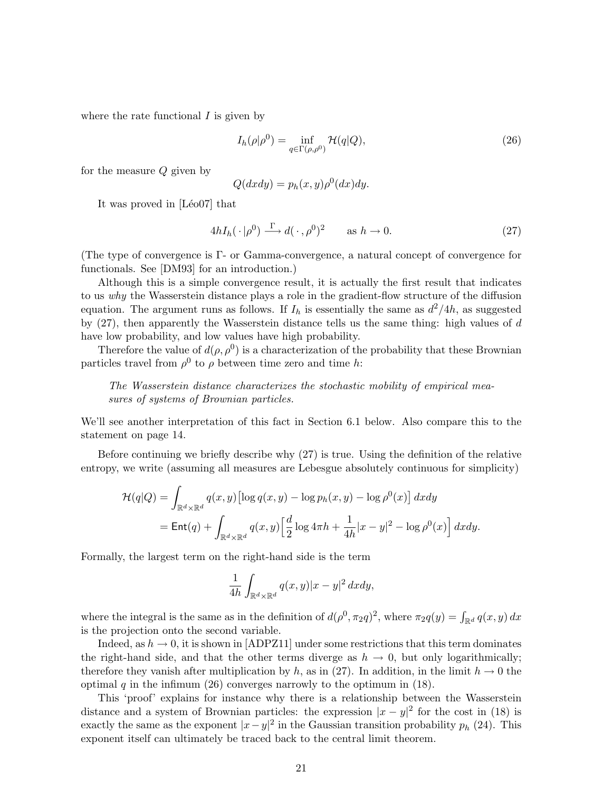where the rate functional  $I$  is given by

$$
I_h(\rho|\rho^0) = \inf_{q \in \Gamma(\rho,\rho^0)} \mathcal{H}(q|Q),\tag{26}
$$

for the measure Q given by

$$
Q(dx dy) = p_h(x, y)\rho^0(dx)dy.
$$

It was proved in  $[Léo07]$  that

$$
4hI_h(\cdot|\rho^0) \xrightarrow{\Gamma} d(\cdot,\rho^0)^2 \qquad \text{as } h \to 0. \tag{27}
$$

(The type of convergence is Γ- or Gamma-convergence, a natural concept of convergence for functionals. See [DM93] for an introduction.)

Although this is a simple convergence result, it is actually the first result that indicates to us why the Wasserstein distance plays a role in the gradient-flow structure of the diffusion equation. The argument runs as follows. If  $I_h$  is essentially the same as  $d^2/4h$ , as suggested by  $(27)$ , then apparently the Wasserstein distance tells us the same thing: high values of  $d$ have low probability, and low values have high probability.

Therefore the value of  $d(\rho, \rho^0)$  is a characterization of the probability that these Brownian particles travel from  $\rho^0$  to  $\rho$  between time zero and time h:

The Wasserstein distance characterizes the stochastic mobility of empirical measures of systems of Brownian particles.

We'll see another interpretation of this fact in Section 6.1 below. Also compare this to the statement on page 14.

Before continuing we briefly describe why (27) is true. Using the definition of the relative entropy, we write (assuming all measures are Lebesgue absolutely continuous for simplicity)

$$
\mathcal{H}(q|Q) = \int_{\mathbb{R}^d \times \mathbb{R}^d} q(x, y) \left[ \log q(x, y) - \log p_h(x, y) - \log \rho^0(x) \right] dx dy
$$
  
= Ent(q) + 
$$
\int_{\mathbb{R}^d \times \mathbb{R}^d} q(x, y) \left[ \frac{d}{2} \log 4\pi h + \frac{1}{4h} |x - y|^2 - \log \rho^0(x) \right] dx dy.
$$

Formally, the largest term on the right-hand side is the term

$$
\frac{1}{4h}\int_{\mathbb{R}^d\times\mathbb{R}^d}q(x,y)|x-y|^2\,dxdy,
$$

where the integral is the same as in the definition of  $d(\rho^0, \pi_2 q)^2$ , where  $\pi_2 q(y) = \int_{\mathbb{R}^d} q(x, y) dx$ is the projection onto the second variable.

Indeed, as  $h \to 0$ , it is shown in [ADPZ11] under some restrictions that this term dominates the right-hand side, and that the other terms diverge as  $h \to 0$ , but only logarithmically; therefore they vanish after multiplication by h, as in (27). In addition, in the limit  $h \to 0$  the optimal q in the infimum (26) converges narrowly to the optimum in  $(18)$ .

This 'proof' explains for instance why there is a relationship between the Wasserstein distance and a system of Brownian particles: the expression  $|x-y|^2$  for the cost in (18) is exactly the same as the exponent  $|x-y|^2$  in the Gaussian transition probability  $p_h$  (24). This exponent itself can ultimately be traced back to the central limit theorem.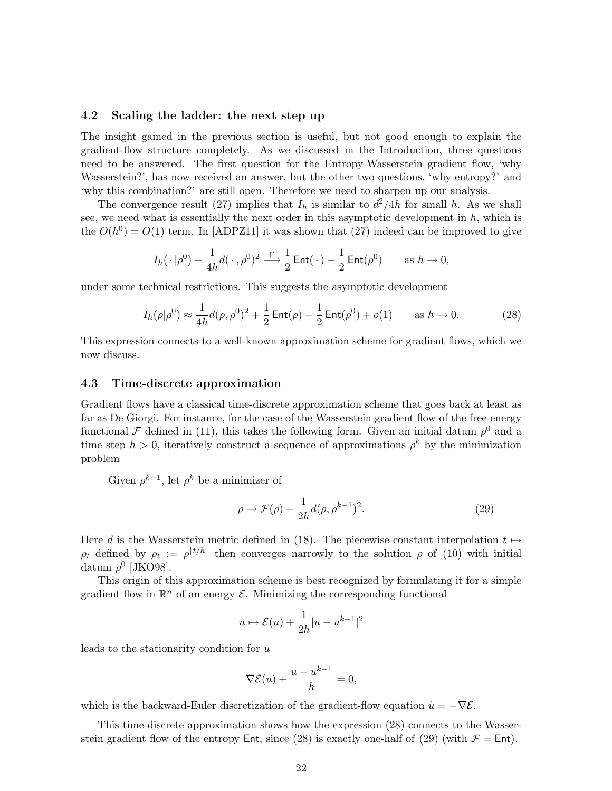### 4.2 Scaling the ladder: the next step up

The insight gained in the previous section is useful, but not good enough to explain the gradient-flow structure completely. As we discussed in the Introduction, three questions need to be answered. The first question for the Entropy-Wasserstein gradient flow, 'why Wasserstein?', has now received an answer, but the other two questions, 'why entropy?' and 'why this combination?' are still open. Therefore we need to sharpen up our analysis.

The convergence result (27) implies that  $I_h$  is similar to  $d^2/4h$  for small h. As we shall see, we need what is essentially the next order in this asymptotic development in  $h$ , which is the  $O(h^0) = O(1)$  term. In [ADPZ11] it was shown that (27) indeed can be improved to give

$$
I_h(\cdot|\rho^0) - \frac{1}{4h}d(\cdot,\rho^0)^2 \stackrel{\Gamma}{\longrightarrow} \frac{1}{2}\operatorname{Ent}(\cdot) - \frac{1}{2}\operatorname{Ent}(\rho^0) \quad \text{as } h \to 0,
$$

under some technical restrictions. This suggests the asymptotic development

$$
I_h(\rho|\rho^0) \approx \frac{1}{4h}d(\rho,\rho^0)^2 + \frac{1}{2}\operatorname{Ent}(\rho) - \frac{1}{2}\operatorname{Ent}(\rho^0) + o(1) \quad \text{as } h \to 0. \tag{28}
$$

This expression connects to a well-known approximation scheme for gradient flows, which we now discuss.

### 4.3 Time-discrete approximation

Gradient flows have a classical time-discrete approximation scheme that goes back at least as far as De Giorgi. For instance, for the case of the Wasserstein gradient flow of the free-energy functional F defined in (11), this takes the following form. Given an initial datum  $\rho^0$  and a time step  $h > 0$ , iteratively construct a sequence of approximations  $\rho^k$  by the minimization problem

Given  $\rho^{k-1}$ , let  $\rho^k$  be a minimizer of

$$
\rho \mapsto \mathcal{F}(\rho) + \frac{1}{2h} d(\rho, \rho^{k-1})^2. \tag{29}
$$

Here d is the Wasserstein metric defined in (18). The piecewise-constant interpolation  $t \mapsto$  $\rho_t$  defined by  $\rho_t := \rho^{\lfloor t/h \rfloor}$  then converges narrowly to the solution  $\rho$  of (10) with initial datum  $\rho^0$  [JKO98].

This origin of this approximation scheme is best recognized by formulating it for a simple gradient flow in  $\mathbb{R}^n$  of an energy  $\mathcal{E}$ . Minimizing the corresponding functional

$$
u \mapsto \mathcal{E}(u) + \frac{1}{2h}|u - u^{k-1}|^2
$$

leads to the stationarity condition for u

$$
\nabla \mathcal{E}(u) + \frac{u - u^{k-1}}{h} = 0,
$$

which is the backward-Euler discretization of the gradient-flow equation  $\dot{u} = -\nabla \mathcal{E}$ .

This time-discrete approximation shows how the expression (28) connects to the Wasserstein gradient flow of the entropy Ent, since (28) is exactly one-half of (29) (with  $\mathcal{F} = \mathsf{Ent}$ ).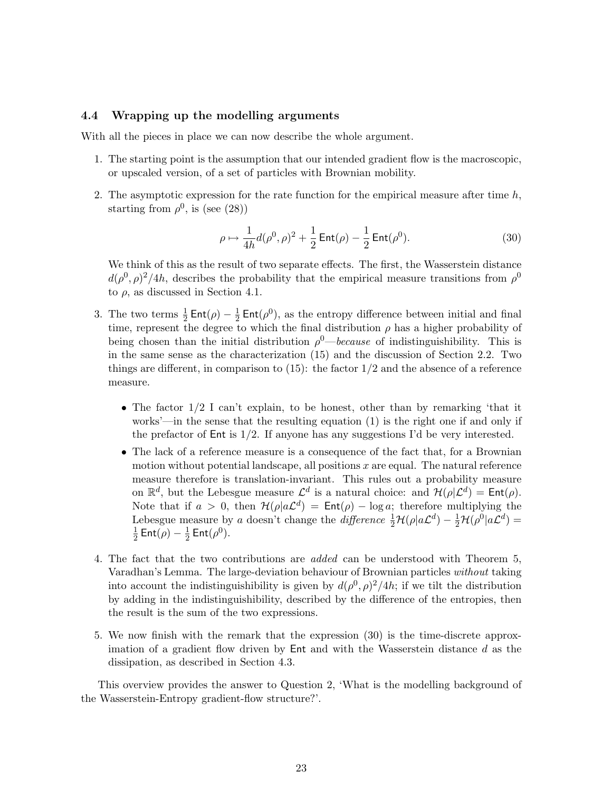### 4.4 Wrapping up the modelling arguments

With all the pieces in place we can now describe the whole argument.

- 1. The starting point is the assumption that our intended gradient flow is the macroscopic, or upscaled version, of a set of particles with Brownian mobility.
- 2. The asymptotic expression for the rate function for the empirical measure after time  $h$ , starting from  $\rho^0$ , is (see (28))

$$
\rho \mapsto \frac{1}{4h} d(\rho^0, \rho)^2 + \frac{1}{2} \operatorname{Ent}(\rho) - \frac{1}{2} \operatorname{Ent}(\rho^0). \tag{30}
$$

We think of this as the result of two separate effects. The first, the Wasserstein distance  $d(\rho^0, \rho)^2/4h$ , describes the probability that the empirical measure transitions from  $\rho^0$ to  $\rho$ , as discussed in Section 4.1.

- 3. The two terms  $\frac{1}{2}$  Ent $(\rho) \frac{1}{2}$  $\frac{1}{2}$  Ent( $\rho$ <sup>0</sup>), as the entropy difference between initial and final time, represent the degree to which the final distribution  $\rho$  has a higher probability of being chosen than the initial distribution  $\rho^0$ —because of indistinguishibility. This is in the same sense as the characterization (15) and the discussion of Section 2.2. Two things are different, in comparison to  $(15)$ : the factor  $1/2$  and the absence of a reference measure.
	- The factor 1/2 I can't explain, to be honest, other than by remarking 'that it works'—in the sense that the resulting equation (1) is the right one if and only if the prefactor of  $Ent$  is  $1/2$ . If anyone has any suggestions I'd be very interested.
	- The lack of a reference measure is a consequence of the fact that, for a Brownian motion without potential landscape, all positions  $x$  are equal. The natural reference measure therefore is translation-invariant. This rules out a probability measure on  $\mathbb{R}^d$ , but the Lebesgue measure  $\mathcal{L}^d$  is a natural choice: and  $\mathcal{H}(\rho|\mathcal{L}^d) = \mathsf{Ent}(\rho)$ . Note that if  $a > 0$ , then  $\mathcal{H}(\rho | a\mathcal{L}^d) = \text{Ent}(\rho) - \log a$ ; therefore multiplying the Lebesgue measure by a doesn't change the difference  $\frac{1}{2}\mathcal{H}(\rho|a\mathcal{L}^d) - \frac{1}{2}\mathcal{H}(\rho^0|a\mathcal{L}^d) =$ 1  $\frac{1}{2}$  Ent $(\rho) - \frac{1}{2}$  $\frac{1}{2}$  Ent $(\rho^0)$ .
- 4. The fact that the two contributions are added can be understood with Theorem 5, Varadhan's Lemma. The large-deviation behaviour of Brownian particles without taking into account the indistinguishibility is given by  $d(\rho^0, \rho)^2/4h$ ; if we tilt the distribution by adding in the indistinguishibility, described by the difference of the entropies, then the result is the sum of the two expressions.
- 5. We now finish with the remark that the expression (30) is the time-discrete approximation of a gradient flow driven by  $Ent$  and with the Wasserstein distance d as the dissipation, as described in Section 4.3.

This overview provides the answer to Question 2, 'What is the modelling background of the Wasserstein-Entropy gradient-flow structure?'.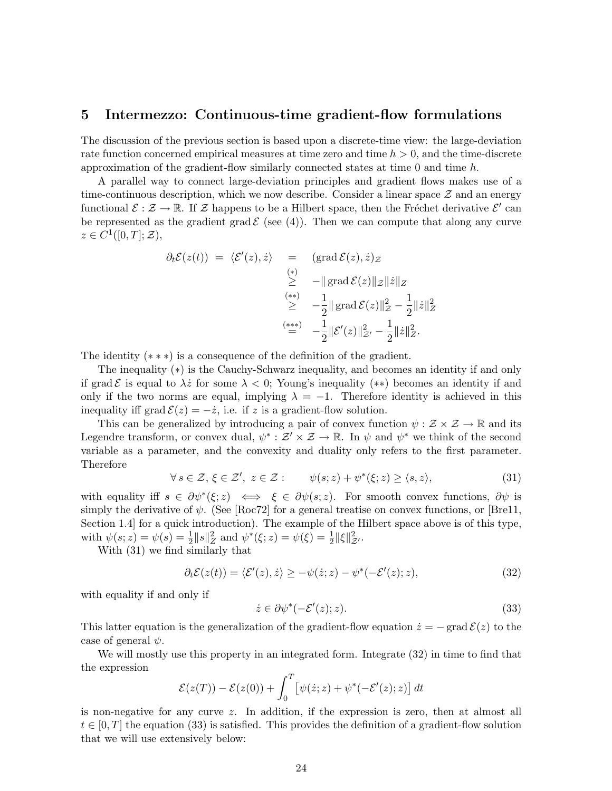### 5 Intermezzo: Continuous-time gradient-flow formulations

The discussion of the previous section is based upon a discrete-time view: the large-deviation rate function concerned empirical measures at time zero and time  $h > 0$ , and the time-discrete approximation of the gradient-flow similarly connected states at time  $0$  and time  $h$ .

A parallel way to connect large-deviation principles and gradient flows makes use of a time-continuous description, which we now describe. Consider a linear space  $\mathcal Z$  and an energy functional  $\mathcal{E}: \mathcal{Z} \to \mathbb{R}$ . If  $\mathcal{Z}$  happens to be a Hilbert space, then the Fréchet derivative  $\mathcal{E}'$  can be represented as the gradient grad  $\mathcal{E}$  (see (4)). Then we can compute that along any curve  $z \in C^1([0,T];\mathcal{Z}),$ 

$$
\partial_t \mathcal{E}(z(t)) = \langle \mathcal{E}'(z), \dot{z} \rangle = \left( \operatorname{grad} \mathcal{E}(z), \dot{z} \right) z
$$
  
\n
$$
\geq \quad -\|\operatorname{grad} \mathcal{E}(z)\|z\|\dot{z}\|_Z
$$
  
\n
$$
\geq \quad -\frac{1}{2} \|\operatorname{grad} \mathcal{E}(z)\|_Z^2 - \frac{1}{2} \|\dot{z}\|_Z^2
$$
  
\n
$$
\stackrel{(***)}{=} \quad -\frac{1}{2} \|\mathcal{E}'(z)\|_Z^2 - \frac{1}{2} \|\dot{z}\|_Z^2.
$$

The identity  $(**)$  is a consequence of the definition of the gradient.

The inequality (∗) is the Cauchy-Schwarz inequality, and becomes an identity if and only if grad E is equal to  $\lambda \dot{z}$  for some  $\lambda < 0$ ; Young's inequality (\*\*) becomes an identity if and only if the two norms are equal, implying  $\lambda = -1$ . Therefore identity is achieved in this inequality iff grad  $\mathcal{E}(z) = -\dot{z}$ , i.e. if z is a gradient-flow solution.

This can be generalized by introducing a pair of convex function  $\psi : \mathcal{Z} \times \mathcal{Z} \to \mathbb{R}$  and its Legendre transform, or convex dual,  $\psi^* : \mathcal{Z}' \times \mathcal{Z} \to \mathbb{R}$ . In  $\psi$  and  $\psi^*$  we think of the second variable as a parameter, and the convexity and duality only refers to the first parameter. Therefore

$$
\forall s \in \mathcal{Z}, \xi \in \mathcal{Z}', \ z \in \mathcal{Z}: \qquad \psi(s; z) + \psi^*(\xi; z) \ge \langle s, z \rangle,
$$
\n
$$
(31)
$$

with equality iff  $s \in \partial \psi^*(\xi; z) \iff \xi \in \partial \psi(s; z)$ . For smooth convex functions,  $\partial \psi$  is simply the derivative of  $\psi$ . (See [Roc72] for a general treatise on convex functions, or [Bre11, Section 1.4] for a quick introduction). The example of the Hilbert space above is of this type, with  $\psi(s; z) = \psi(s) = \frac{1}{2} ||s||_Z^2$  and  $\psi^*(\xi; z) = \psi(\xi) = \frac{1}{2} ||\xi||_{Z'}^2$ .

With (31) we find similarly that

$$
\partial_t \mathcal{E}(z(t)) = \langle \mathcal{E}'(z), \dot{z} \rangle \ge -\psi(\dot{z}; z) - \psi^*(-\mathcal{E}'(z); z), \tag{32}
$$

with equality if and only if

$$
\dot{z} \in \partial \psi^*(-\mathcal{E}'(z); z). \tag{33}
$$

This latter equation is the generalization of the gradient-flow equation  $\dot{z} = -\text{grad }\mathcal{E}(z)$  to the case of general  $\psi$ .

We will mostly use this property in an integrated form. Integrate  $(32)$  in time to find that the expression

$$
\mathcal{E}(z(T)) - \mathcal{E}(z(0)) + \int_0^T \left[\psi(\dot{z}; z) + \psi^*(-\mathcal{E}'(z); z)\right] dt
$$

is non-negative for any curve z. In addition, if the expression is zero, then at almost all  $t \in [0, T]$  the equation (33) is satisfied. This provides the definition of a gradient-flow solution that we will use extensively below: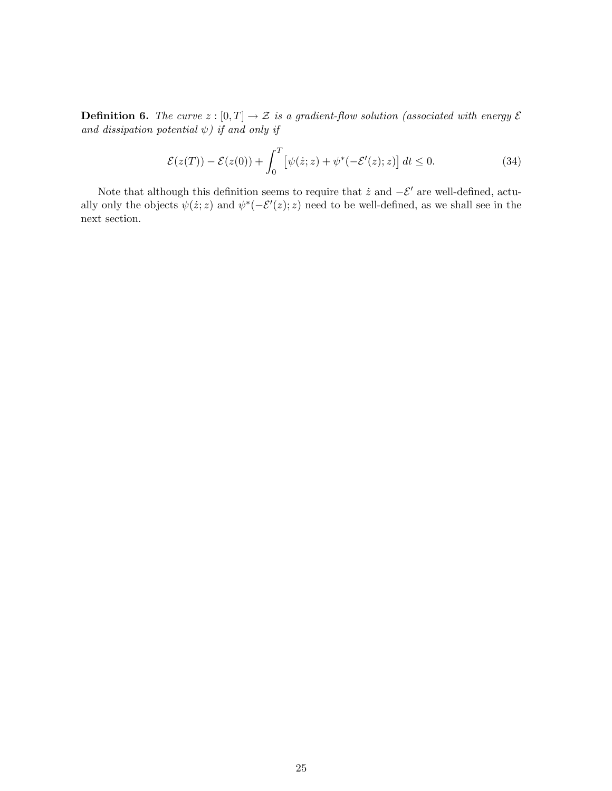**Definition 6.** The curve  $z : [0, T] \to \mathcal{Z}$  is a gradient-flow solution (associated with energy  $\mathcal{E}$ and dissipation potential  $\psi$ ) if and only if

$$
\mathcal{E}(z(T)) - \mathcal{E}(z(0)) + \int_0^T \left[ \psi(\dot{z}; z) + \psi^*(-\mathcal{E}'(z); z) \right] dt \le 0.
$$
 (34)

Note that although this definition seems to require that  $\dot{z}$  and  $-\mathcal{E}'$  are well-defined, actually only the objects  $\psi(\dot{z}; z)$  and  $\psi^*(-\mathcal{E}'(z); z)$  need to be well-defined, as we shall see in the next section.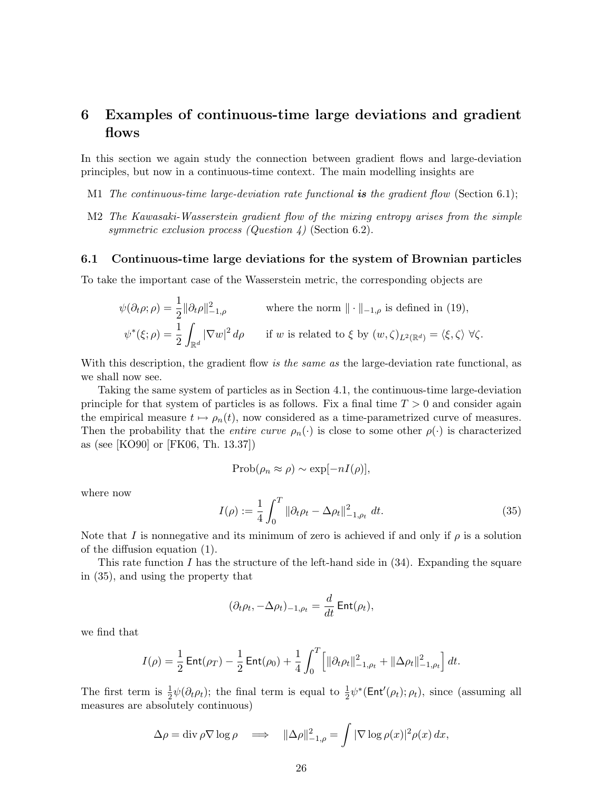## 6 Examples of continuous-time large deviations and gradient flows

In this section we again study the connection between gradient flows and large-deviation principles, but now in a continuous-time context. The main modelling insights are

- M1 The continuous-time large-deviation rate functional is the gradient flow (Section 6.1);
- M2 The Kawasaki-Wasserstein gradient flow of the mixing entropy arises from the simple symmetric exclusion process (Question 4) (Section 6.2).

#### 6.1 Continuous-time large deviations for the system of Brownian particles

To take the important case of the Wasserstein metric, the corresponding objects are

$$
\psi(\partial_t \rho; \rho) = \frac{1}{2} ||\partial_t \rho||^2_{-1,\rho} \qquad \text{where the norm } || \cdot ||_{-1,\rho} \text{ is defined in (19)},
$$
  

$$
\psi^*(\xi; \rho) = \frac{1}{2} \int_{\mathbb{R}^d} |\nabla w|^2 d\rho \qquad \text{if } w \text{ is related to } \xi \text{ by } (w, \zeta)_{L^2(\mathbb{R}^d)} = \langle \xi, \zeta \rangle \ \forall \zeta.
$$

With this description, the gradient flow is the same as the large-deviation rate functional, as we shall now see.

Taking the same system of particles as in Section 4.1, the continuous-time large-deviation principle for that system of particles is as follows. Fix a final time  $T > 0$  and consider again the empirical measure  $t \mapsto \rho_n(t)$ , now considered as a time-parametrized curve of measures. Then the probability that the *entire curve*  $\rho_n(\cdot)$  is close to some other  $\rho(\cdot)$  is characterized as (see [KO90] or [FK06, Th. 13.37])

$$
\mathrm{Prob}(\rho_n \approx \rho) \sim \exp[-nI(\rho)],
$$

where now

$$
I(\rho) := \frac{1}{4} \int_0^T \|\partial_t \rho_t - \Delta \rho_t\|_{-1, \rho_t}^2 \, dt. \tag{35}
$$

Note that I is nonnegative and its minimum of zero is achieved if and only if  $\rho$  is a solution of the diffusion equation (1).

This rate function  $I$  has the structure of the left-hand side in  $(34)$ . Expanding the square in (35), and using the property that

$$
(\partial_t \rho_t, -\Delta \rho_t)_{-1,\rho_t} = \frac{d}{dt} \operatorname{Ent}(\rho_t),
$$

we find that

$$
I(\rho) = \frac{1}{2} \operatorname{Ent}(\rho_T) - \frac{1}{2} \operatorname{Ent}(\rho_0) + \frac{1}{4} \int_0^T \left[ \|\partial_t \rho_t\|_{-1,\rho_t}^2 + \|\Delta \rho_t\|_{-1,\rho_t}^2 \right] dt.
$$

The first term is  $\frac{1}{2}\psi(\partial_t\rho_t)$ ; the final term is equal to  $\frac{1}{2}\psi^*(\text{Ent}'(\rho_t); \rho_t)$ , since (assuming all measures are absolutely continuous)

$$
\Delta \rho = \text{div}\,\rho \nabla \log \rho \quad \Longrightarrow \quad \|\Delta \rho\|_{-1,\rho}^2 = \int |\nabla \log \rho(x)|^2 \rho(x) \, dx,
$$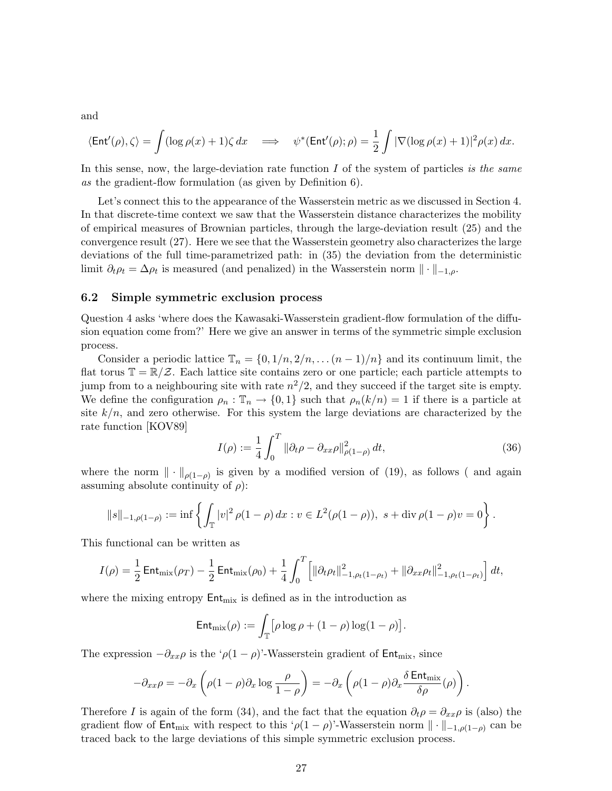and

$$
\langle \operatorname{Ent}'(\rho), \zeta \rangle = \int (\log \rho(x) + 1) \zeta \, dx \quad \Longrightarrow \quad \psi^*(\operatorname{Ent}'(\rho); \rho) = \frac{1}{2} \int |\nabla(\log \rho(x) + 1)|^2 \rho(x) \, dx.
$$

In this sense, now, the large-deviation rate function  $I$  of the system of particles is the same as the gradient-flow formulation (as given by Definition 6).

Let's connect this to the appearance of the Wasserstein metric as we discussed in Section 4. In that discrete-time context we saw that the Wasserstein distance characterizes the mobility of empirical measures of Brownian particles, through the large-deviation result (25) and the convergence result (27). Here we see that the Wasserstein geometry also characterizes the large deviations of the full time-parametrized path: in (35) the deviation from the deterministic limit  $\partial_t \rho_t = \Delta \rho_t$  is measured (and penalized) in the Wasserstein norm  $\|\cdot\|_{-1,\rho}$ .

### 6.2 Simple symmetric exclusion process

Question 4 asks 'where does the Kawasaki-Wasserstein gradient-flow formulation of the diffusion equation come from?' Here we give an answer in terms of the symmetric simple exclusion process.

Consider a periodic lattice  $\mathbb{T}_n = \{0, 1/n, 2/n, \ldots (n-1)/n\}$  and its continuum limit, the flat torus  $\mathbb{T} = \mathbb{R}/\mathbb{Z}$ . Each lattice site contains zero or one particle; each particle attempts to jump from to a neighbouring site with rate  $n^2/2$ , and they succeed if the target site is empty. We define the configuration  $\rho_n : \mathbb{T}_n \to \{0,1\}$  such that  $\rho_n(k/n) = 1$  if there is a particle at site  $k/n$ , and zero otherwise. For this system the large deviations are characterized by the rate function [KOV89]

$$
I(\rho) := \frac{1}{4} \int_0^T \|\partial_t \rho - \partial_{xx} \rho\|_{\rho(1-\rho)}^2 dt,
$$
\n(36)

where the norm  $\|\cdot\|_{\rho(1-\rho)}$  is given by a modified version of (19), as follows ( and again assuming absolute continuity of  $\rho$ ):

$$
||s||_{-1,\rho(1-\rho)} := \inf \left\{ \int_{\mathbb{T}} |v|^2 \, \rho(1-\rho) \, dx : v \in L^2(\rho(1-\rho)), \, s + \text{div} \, \rho(1-\rho)v = 0 \right\}.
$$

This functional can be written as

$$
I(\rho) = \frac{1}{2} \operatorname{Ent}_{\text{mix}}(\rho_T) - \frac{1}{2} \operatorname{Ent}_{\text{mix}}(\rho_0) + \frac{1}{4} \int_0^T \left[ \|\partial_t \rho_t\|_{-1, \rho_t(1-\rho_t)}^2 + \|\partial_{xx} \rho_t\|_{-1, \rho_t(1-\rho_t)}^2 \right] dt,
$$

where the mixing entropy  $Ent_{mix}$  is defined as in the introduction as

$$
\mathsf{Ent}_{\mathrm{mix}}(\rho) := \int_{\mathbb{T}} \bigl[ \rho \log \rho + (1 - \rho) \log(1 - \rho) \bigr].
$$

The expression  $-\partial_{xx}\rho$  is the ' $\rho(1-\rho)$ '-Wasserstein gradient of Ent<sub>mix</sub>, since

$$
-\partial_{xx}\rho = -\partial_x \left( \rho (1-\rho)\partial_x \log \frac{\rho}{1-\rho} \right) = -\partial_x \left( \rho (1-\rho)\partial_x \frac{\delta \operatorname{Ent}_{\mathrm{mix}}}{\delta \rho}(\rho) \right).
$$

Therefore I is again of the form (34), and the fact that the equation  $\partial_t \rho = \partial_{xx} \rho$  is (also) the gradient flow of Ent<sub>mix</sub> with respect to this ' $\rho(1-\rho)$ '-Wasserstein norm  $\|\cdot\|_{-1,\rho(1-\rho)}$  can be traced back to the large deviations of this simple symmetric exclusion process.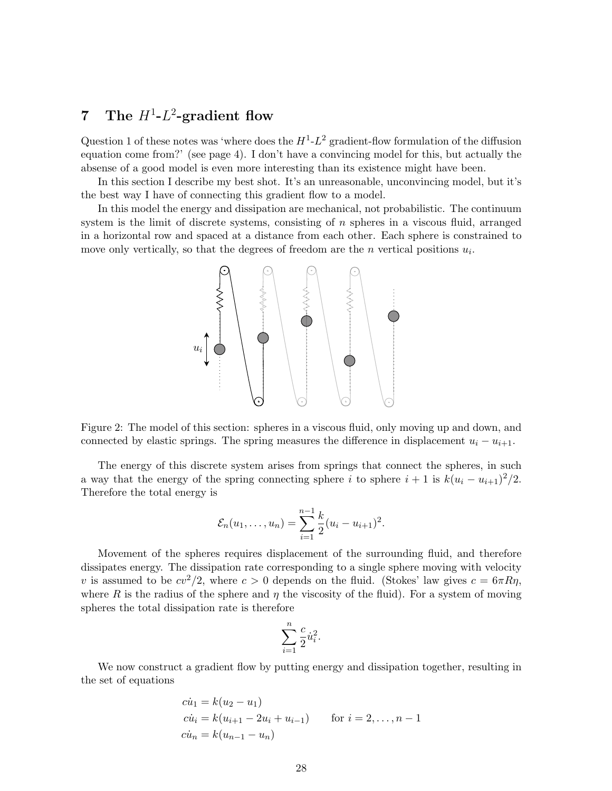# 7 The  $H^1$ - $L^2$ -gradient flow

Question 1 of these notes was 'where does the  $H^1$ - $L^2$  gradient-flow formulation of the diffusion equation come from?' (see page 4). I don't have a convincing model for this, but actually the absense of a good model is even more interesting than its existence might have been.

In this section I describe my best shot. It's an unreasonable, unconvincing model, but it's the best way I have of connecting this gradient flow to a model.

In this model the energy and dissipation are mechanical, not probabilistic. The continuum system is the limit of discrete systems, consisting of  $n$  spheres in a viscous fluid, arranged in a horizontal row and spaced at a distance from each other. Each sphere is constrained to move only vertically, so that the degrees of freedom are the  $n$  vertical positions  $u_i$ .





The energy of this discrete system arises from springs that connect the spheres, in such a way that the energy of the spring connecting sphere i to sphere  $i + 1$  is  $k(u_i - u_{i+1})^2/2$ . Therefore the total energy is

$$
\mathcal{E}_n(u_1,\ldots,u_n)=\sum_{i=1}^{n-1}\frac{k}{2}(u_i-u_{i+1})^2.
$$

Movement of the spheres requires displacement of the surrounding fluid, and therefore dissipates energy. The dissipation rate corresponding to a single sphere moving with velocity v is assumed to be  $cv^2/2$ , where  $c > 0$  depends on the fluid. (Stokes' law gives  $c = 6\pi R\eta$ , where R is the radius of the sphere and  $\eta$  the viscosity of the fluid). For a system of moving spheres the total dissipation rate is therefore

$$
\sum_{i=1}^n \frac{c}{2} \dot{u}_i^2.
$$

We now construct a gradient flow by putting energy and dissipation together, resulting in the set of equations

$$
c\dot{u}_1 = k(u_2 - u_1)
$$
  
\n
$$
c\dot{u}_i = k(u_{i+1} - 2u_i + u_{i-1})
$$
 for  $i = 2, ..., n - 1$   
\n
$$
c\dot{u}_n = k(u_{n-1} - u_n)
$$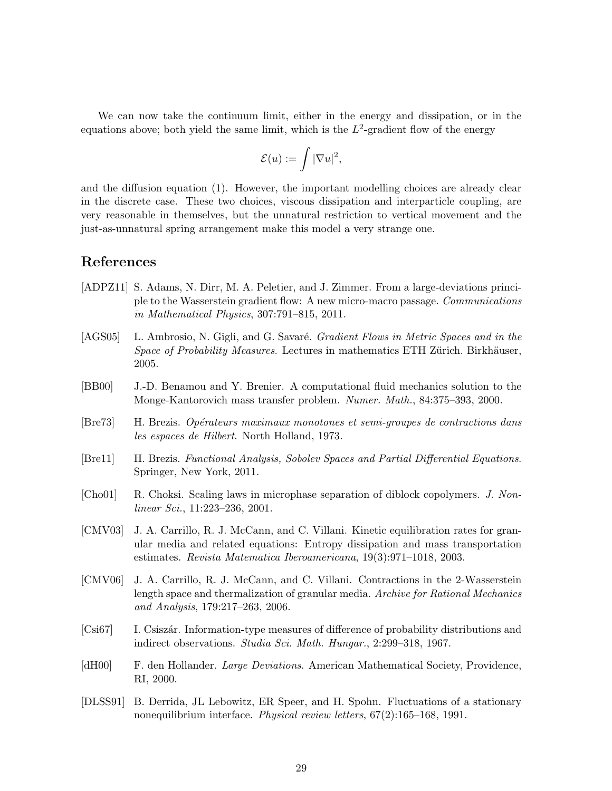We can now take the continuum limit, either in the energy and dissipation, or in the equations above; both yield the same limit, which is the  $L^2$ -gradient flow of the energy

$$
\mathcal{E}(u):=\int |\nabla u|^2,
$$

and the diffusion equation (1). However, the important modelling choices are already clear in the discrete case. These two choices, viscous dissipation and interparticle coupling, are very reasonable in themselves, but the unnatural restriction to vertical movement and the just-as-unnatural spring arrangement make this model a very strange one.

### References

- [ADPZ11] S. Adams, N. Dirr, M. A. Peletier, and J. Zimmer. From a large-deviations principle to the Wasserstein gradient flow: A new micro-macro passage. Communications in Mathematical Physics, 307:791–815, 2011.
- [AGS05] L. Ambrosio, N. Gigli, and G. Savaré. *Gradient Flows in Metric Spaces and in the* Space of Probability Measures. Lectures in mathematics ETH Zürich. Birkhäuser, 2005.
- [BB00] J.-D. Benamou and Y. Brenier. A computational fluid mechanics solution to the Monge-Kantorovich mass transfer problem. Numer. Math., 84:375–393, 2000.
- [Bre73] H. Brezis. Opérateurs maximaux monotones et semi-groupes de contractions dans les espaces de Hilbert. North Holland, 1973.
- [Bre11] H. Brezis. Functional Analysis, Sobolev Spaces and Partial Differential Equations. Springer, New York, 2011.
- [Cho01] R. Choksi. Scaling laws in microphase separation of diblock copolymers. J. Nonlinear Sci., 11:223–236, 2001.
- [CMV03] J. A. Carrillo, R. J. McCann, and C. Villani. Kinetic equilibration rates for granular media and related equations: Entropy dissipation and mass transportation estimates. Revista Matematica Iberoamericana, 19(3):971–1018, 2003.
- [CMV06] J. A. Carrillo, R. J. McCann, and C. Villani. Contractions in the 2-Wasserstein length space and thermalization of granular media. Archive for Rational Mechanics and Analysis, 179:217–263, 2006.
- [Csi67] I. Csiszár. Information-type measures of difference of probability distributions and indirect observations. Studia Sci. Math. Hungar., 2:299–318, 1967.
- [dH00] F. den Hollander. *Large Deviations*. American Mathematical Society, Providence, RI, 2000.
- [DLSS91] B. Derrida, JL Lebowitz, ER Speer, and H. Spohn. Fluctuations of a stationary nonequilibrium interface. Physical review letters, 67(2):165–168, 1991.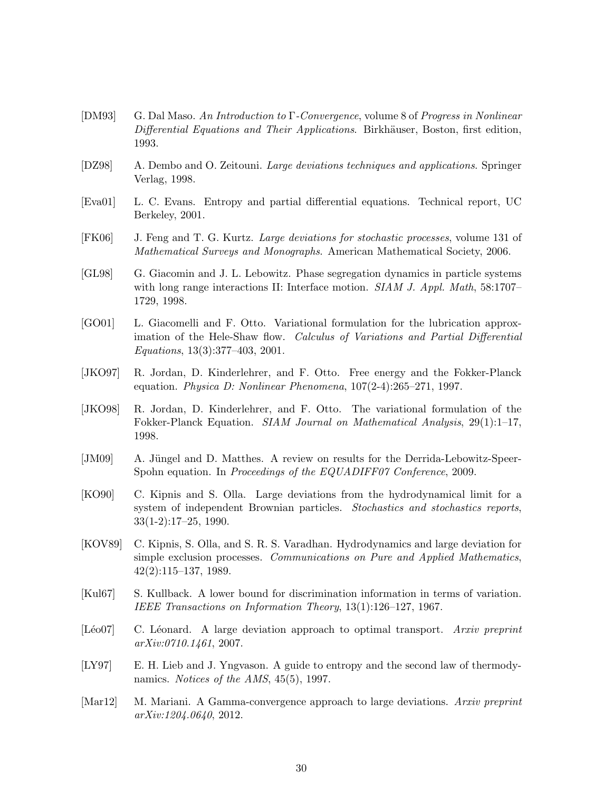- [DM93] G. Dal Maso. An Introduction to  $\Gamma$ -Convergence, volume 8 of Progress in Nonlinear Differential Equations and Their Applications. Birkhäuser, Boston, first edition, 1993.
- [DZ98] A. Dembo and O. Zeitouni. Large deviations techniques and applications. Springer Verlag, 1998.
- [Eva01] L. C. Evans. Entropy and partial differential equations. Technical report, UC Berkeley, 2001.
- [FK06] J. Feng and T. G. Kurtz. Large deviations for stochastic processes, volume 131 of Mathematical Surveys and Monographs. American Mathematical Society, 2006.
- [GL98] G. Giacomin and J. L. Lebowitz. Phase segregation dynamics in particle systems with long range interactions II: Interface motion. *SIAM J. Appl. Math*, 58:1707– 1729, 1998.
- [GO01] L. Giacomelli and F. Otto. Variational formulation for the lubrication approximation of the Hele-Shaw flow. Calculus of Variations and Partial Differential Equations, 13(3):377–403, 2001.
- [JKO97] R. Jordan, D. Kinderlehrer, and F. Otto. Free energy and the Fokker-Planck equation. Physica D: Nonlinear Phenomena, 107(2-4):265–271, 1997.
- [JKO98] R. Jordan, D. Kinderlehrer, and F. Otto. The variational formulation of the Fokker-Planck Equation. SIAM Journal on Mathematical Analysis, 29(1):1-17, 1998.
- [JM09] A. Jüngel and D. Matthes. A review on results for the Derrida-Lebowitz-Speer-Spohn equation. In Proceedings of the EQUADIFF07 Conference, 2009.
- [KO90] C. Kipnis and S. Olla. Large deviations from the hydrodynamical limit for a system of independent Brownian particles. *Stochastics and stochastics reports*, 33(1-2):17–25, 1990.
- [KOV89] C. Kipnis, S. Olla, and S. R. S. Varadhan. Hydrodynamics and large deviation for simple exclusion processes. Communications on Pure and Applied Mathematics, 42(2):115–137, 1989.
- [Kul67] S. Kullback. A lower bound for discrimination information in terms of variation. IEEE Transactions on Information Theory, 13(1):126–127, 1967.
- [Léo07] C. Léonard. A large deviation approach to optimal transport. Arxiv preprint arXiv:0710.1461, 2007.
- [LY97] E. H. Lieb and J. Yngvason. A guide to entropy and the second law of thermodynamics. *Notices of the AMS*, 45(5), 1997.
- [Mar12] M. Mariani. A Gamma-convergence approach to large deviations. Arxiv preprint arXiv:1204.0640, 2012.